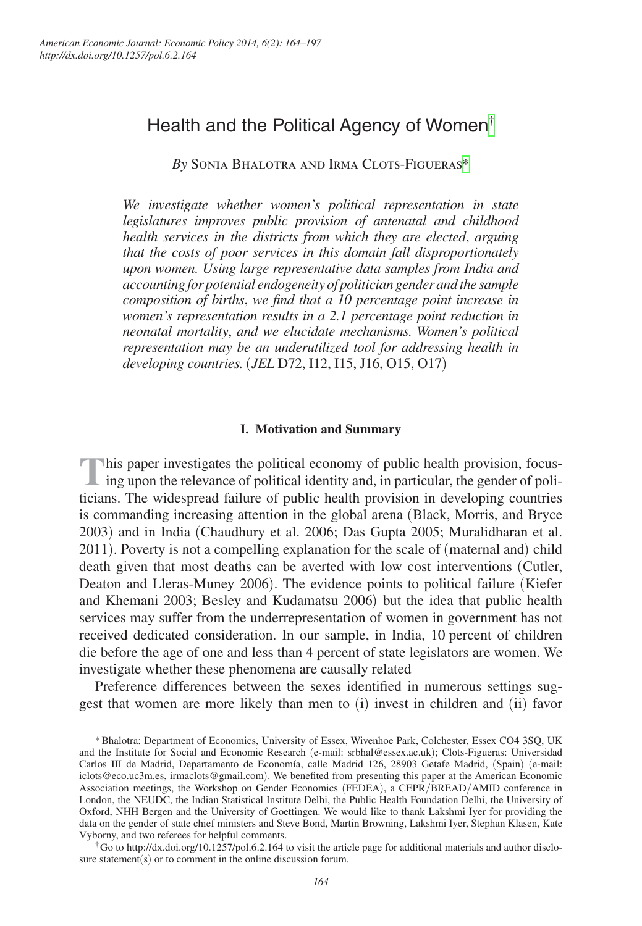# Health and the Political Agency of Women[†](#page-0-0)

*By* Sonia Bhalotra and Irma Clots-Figuera[s\\*](#page-0-1)

*We investigate whether women's political representation in state legislatures improves public provision of antenatal and childhood health services in the districts from which they are elected*, *arguing that the costs of poor services in this domain fall disproportionately upon women. Using large representative data samples from India and accounting for potential endogeneity of politician gender and the sample composition of births*, *we find that a 10 percentage point increase in women's representation results in a 2.1 percentage point reduction in neonatal mortality*, *and we elucidate mechanisms. Women's political representation may be an underutilized tool for addressing health in developing countries.* (*JEL* D72, I12, I15, J16, O15, O17)

# **I. Motivation and Summary**

This paper investigates the political economy of public health provision, focus-<br>ing upon the relevance of political identity and, in particular, the gender of politicians. The widespread failure of public health provision in developing countries is commanding increasing attention in the global arena (Black, Morris, and Bryce 2003) and in India (Chaudhury et al. 2006; Das Gupta 2005; Muralidharan et al. 2011). Poverty is not a compelling explanation for the scale of (maternal and) child death given that most deaths can be averted with low cost interventions (Cutler, Deaton and Lleras-Muney 2006). The evidence points to political failure (Kiefer and Khemani 2003; Besley and Kudamatsu 2006) but the idea that public health services may suffer from the underrepresentation of women in government has not received dedicated consideration. In our sample, in India, 10 percent of children die before the age of one and less than 4 percent of state legislators are women. We investigate whether these phenomena are causally related

Preference differences between the sexes identified in numerous settings suggest that women are more likely than men to (i) invest in children and (ii) favor

<span id="page-0-0"></span>sure statement(s) or to comment in the online discussion forum.

<span id="page-0-1"></span><sup>\*</sup>Bhalotra: Department of Economics, University of Essex, Wivenhoe Park, Colchester, Essex CO4 3SQ, UK and the Institute for Social and Economic Research (e-mail: [srbhal@essex.ac.uk](mailto:srbhal@essex.ac.uk)); Clots-Figueras: Universidad Carlos III de Madrid, Departamento de Economía, calle Madrid 126, 28903 Getafe Madrid, (Spain) (e-mail: [iclots@eco.uc3m.es,](mailto:iclots@eco.uc3m.es) [irmaclots@gmail.com](mailto:irmaclots@gmail.com)). We benefited from presenting this paper at the American Economic Association meetings, the Workshop on Gender Economics (FEDEA), a CEPR/BREAD/AMID conference in London, the NEUDC, the Indian Statistical Institute Delhi, the Public Health Foundation Delhi, the University of Oxford, NHH Bergen and the University of Goettingen. We would like to thank Lakshmi Iyer for providing the data on the gender of state chief ministers and Steve Bond, Martin Browning, Lakshmi Iyer, Stephan Klasen, Kate Vyborny, and two referees for helpful comments.<br>†Go to <http://dx.doi.org/10.1257/pol.6.2.164>to visit the article page for additional materials and author disclo-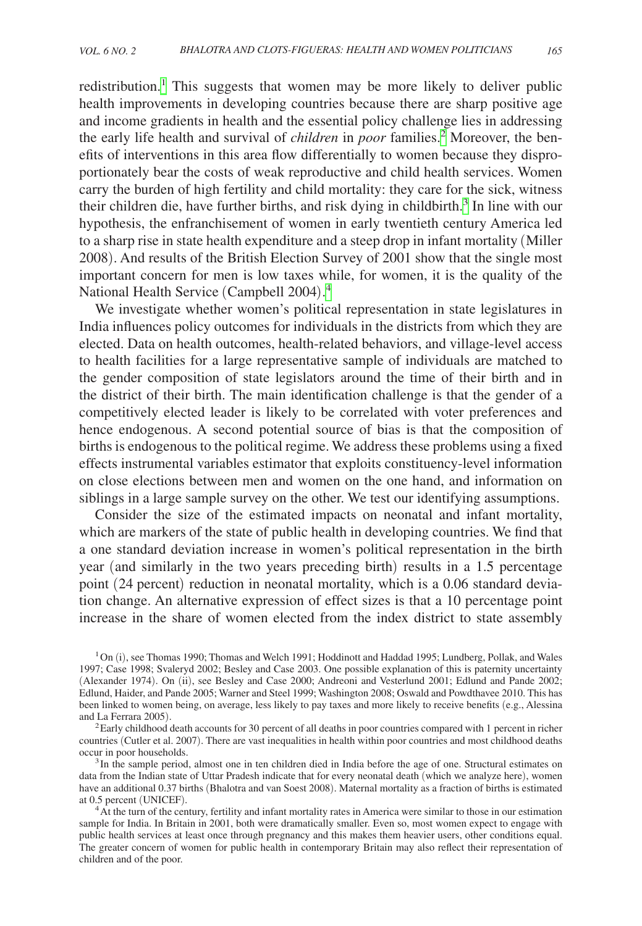redistribution.<sup>[1](#page-1-0)</sup> This suggests that women may be more likely to deliver public health improvements in developing countries because there are sharp positive age and income gradients in health and the essential policy challenge lies in addressing the early life health and survival of *children* in *poor* families.<sup>[2](#page-1-1)</sup> Moreover, the benefits of interventions in this area flow differentially to women because they disproportionately bear the costs of weak reproductive and child health services. Women carry the burden of high fertility and child mortality: they care for the sick, witness their children die, have further births, and risk dying in childbirth.<sup>[3](#page-1-2)</sup> In line with our hypothesis, the enfranchisement of women in early twentieth century America led to a sharp rise in state health expenditure and a steep drop in infant mortality (Miller 2008). And results of the British Election Survey of 2001 show that the single most important concern for men is low taxes while, for women, it is the quality of the National Health Service (Campbell 2004). [4](#page-1-3)

We investigate whether women's political representation in state legislatures in India influences policy outcomes for individuals in the districts from which they are elected. Data on health outcomes, health-related behaviors, and village-level access to health facilities for a large representative sample of individuals are matched to the gender composition of state legislators around the time of their birth and in the district of their birth. The main identification challenge is that the gender of a competitively elected leader is likely to be correlated with voter preferences and hence endogenous. A second potential source of bias is that the composition of births is endogenous to the political regime. We address these problems using a fixed effects instrumental variables estimator that exploits constituency-level information on close elections between men and women on the one hand, and information on siblings in a large sample survey on the other. We test our identifying assumptions.

Consider the size of the estimated impacts on neonatal and infant mortality, which are markers of the state of public health in developing countries. We find that a one standard deviation increase in women's political representation in the birth year (and similarly in the two years preceding birth) results in a 1.5 percentage point (24 percent) reduction in neonatal mortality, which is a 0.06 standard deviation change. An alternative expression of effect sizes is that a 10 percentage point increase in the share of women elected from the index district to state assembly

<span id="page-1-0"></span> $1<sup>1</sup>$  On (i), see Thomas 1990; Thomas and Welch 1991; Hoddinott and Haddad 1995; Lundberg, Pollak, and Wales 1997; Case 1998; Svaleryd 2002; Besley and Case 2003. One possible explanation of this is paternity uncertainty (Alexander 1974). On (ii), see Besley and Case 2000; Andreoni and Vesterlund 2001; Edlund and Pande 2002; Edlund, Haider, and Pande 2005; Warner and Steel 1999; Washington 2008; Oswald and Powdthavee 2010. This has been linked to women being, on average, less likely to pay taxes and more likely to receive benefits (e.g., Alessina and La Ferrara 2005).

<span id="page-1-1"></span> ${}^{2}$ Early childhood death accounts for 30 percent of all deaths in poor countries compared with 1 percent in richer countries (Cutler et al. 2007). There are vast inequalities in health within poor countries and most childhood deaths

<span id="page-1-2"></span><sup>3</sup> In the sample period, almost one in ten children died in India before the age of one. Structural estimates on data from the Indian state of Uttar Pradesh indicate that for every neonatal death (which we analyze here), women have an additional 0.37 births (Bhalotra and van Soest 2008). Maternal mortality as a fraction of births is estimated at 0.5 percent (UNICEF).

<span id="page-1-3"></span><sup>4</sup> At the turn of the century, fertility and infant mortality rates in America were similar to those in our estimation sample for India. In Britain in 2001, both were dramatically smaller. Even so, most women expect to engage with public health services at least once through pregnancy and this makes them heavier users, other conditions equal. The greater concern of women for public health in contemporary Britain may also reflect their representation of children and of the poor.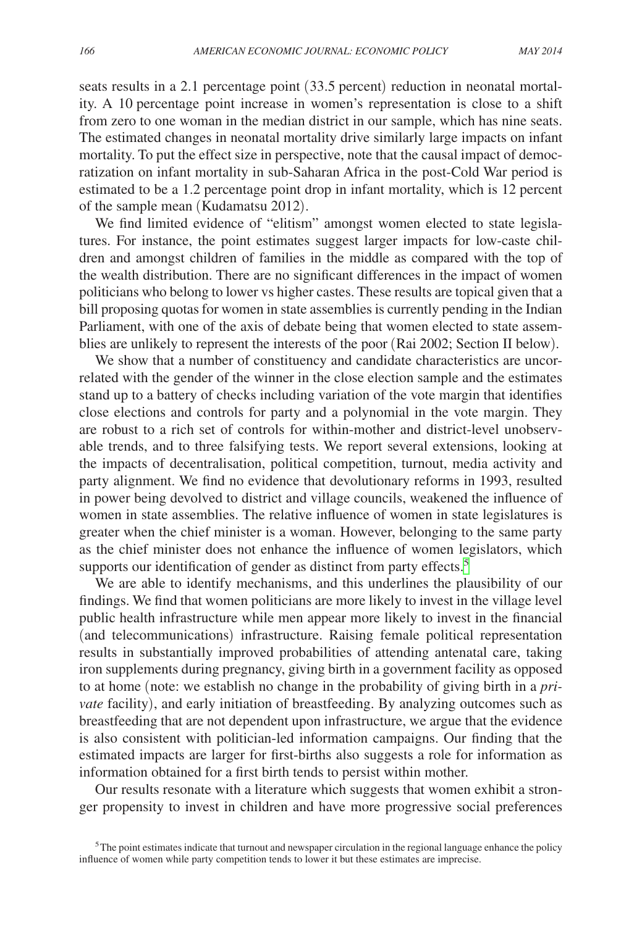seats results in a 2.1 percentage point (33.5 percent) reduction in neonatal mortality. A 10 percentage point increase in women's representation is close to a shift from zero to one woman in the median district in our sample, which has nine seats. The estimated changes in neonatal mortality drive similarly large impacts on infant mortality. To put the effect size in perspective, note that the causal impact of democratization on infant mortality in sub-Saharan Africa in the post-Cold War period is estimated to be a 1.2 percentage point drop in infant mortality, which is 12 percent of the sample mean (Kudamatsu 2012).

We find limited evidence of "elitism" amongst women elected to state legislatures. For instance, the point estimates suggest larger impacts for low-caste children and amongst children of families in the middle as compared with the top of the wealth distribution. There are no significant differences in the impact of women politicians who belong to lower vs higher castes. These results are topical given that a bill proposing quotas for women in state assemblies is currently pending in the Indian Parliament, with one of the axis of debate being that women elected to state assemblies are unlikely to represent the interests of the poor (Rai 2002; Section II below).

We show that a number of constituency and candidate characteristics are uncorrelated with the gender of the winner in the close election sample and the estimates stand up to a battery of checks including variation of the vote margin that identifies close elections and controls for party and a polynomial in the vote margin. They are robust to a rich set of controls for within-mother and district-level unobservable trends, and to three falsifying tests. We report several extensions, looking at the impacts of decentralisation, political competition, turnout, media activity and party alignment. We find no evidence that devolutionary reforms in 1993, resulted in power being devolved to district and village councils, weakened the influence of women in state assemblies. The relative influence of women in state legislatures is greater when the chief minister is a woman. However, belonging to the same party as the chief minister does not enhance the influence of women legislators, which supports our identification of gender as distinct from party effects.<sup>5</sup>

We are able to identify mechanisms, and this underlines the plausibility of our findings. We find that women politicians are more likely to invest in the village level public health infrastructure while men appear more likely to invest in the financial (and telecommunications) infrastructure. Raising female political representation results in substantially improved probabilities of attending antenatal care, taking iron supplements during pregnancy, giving birth in a government facility as opposed to at home (note: we establish no change in the probability of giving birth in a *private* facility), and early initiation of breastfeeding. By analyzing outcomes such as breastfeeding that are not dependent upon infrastructure, we argue that the evidence is also consistent with politician-led information campaigns. Our finding that the estimated impacts are larger for first-births also suggests a role for information as information obtained for a first birth tends to persist within mother.

Our results resonate with a literature which suggests that women exhibit a stronger propensity to invest in children and have more progressive social preferences

<span id="page-2-0"></span> $5$ The point estimates indicate that turnout and newspaper circulation in the regional language enhance the policy influence of women while party competition tends to lower it but these estimates are imprecise.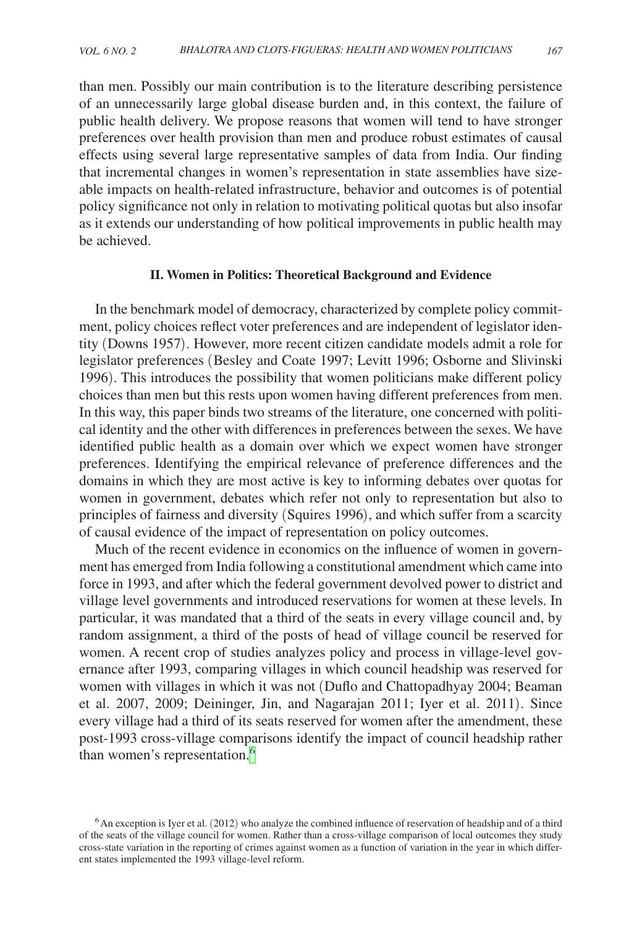than men. Possibly our main contribution is to the literature describing persistence of an unnecessarily large global disease burden and, in this context, the failure of public health delivery. We propose reasons that women will tend to have stronger preferences over health provision than men and produce robust estimates of causal effects using several large representative samples of data from India. Our finding that incremental changes in women's representation in state assemblies have sizeable impacts on health-related infrastructure, behavior and outcomes is of potential policy significance not only in relation to motivating political quotas but also insofar as it extends our understanding of how political improvements in public health may be achieved.

# **II. Women in Politics: Theoretical Background and Evidence**

In the benchmark model of democracy, characterized by complete policy commitment, policy choices reflect voter preferences and are independent of legislator identity (Downs 1957). However, more recent citizen candidate models admit a role for legislator preferences (Besley and Coate 1997; Levitt 1996; Osborne and Slivinski 1996). This introduces the possibility that women politicians make different policy choices than men but this rests upon women having different preferences from men. In this way, this paper binds two streams of the literature, one concerned with political identity and the other with differences in preferences between the sexes. We have identified public health as a domain over which we expect women have stronger preferences. Identifying the empirical relevance of preference differences and the domains in which they are most active is key to informing debates over quotas for women in government, debates which refer not only to representation but also to principles of fairness and diversity (Squires 1996), and which suffer from a scarcity of causal evidence of the impact of representation on policy outcomes.

Much of the recent evidence in economics on the influence of women in government has emerged from India following a constitutional amendment which came into force in 1993, and after which the federal government devolved power to district and village level governments and introduced reservations for women at these levels. In particular, it was mandated that a third of the seats in every village council and, by random assignment, a third of the posts of head of village council be reserved for women. A recent crop of studies analyzes policy and process in village-level governance after 1993, comparing villages in which council headship was reserved for women with villages in which it was not (Duflo and Chattopadhyay 2004; Beaman et al. 2007, 2009; Deininger, Jin, and Nagarajan 2011; Iyer et al. 2011). Since every village had a third of its seats reserved for women after the amendment, these post-1993 cross-village comparisons identify the impact of council headship rather than women's representation.<sup>6</sup>

<span id="page-3-0"></span> $6$ An exception is Iyer et al. (2012) who analyze the combined influence of reservation of headship and of a third of the seats of the village council for women. Rather than a cross-village comparison of local outcomes they study cross-state variation in the reporting of crimes against women as a function of variation in the year in which different states implemented the 1993 village-level reform.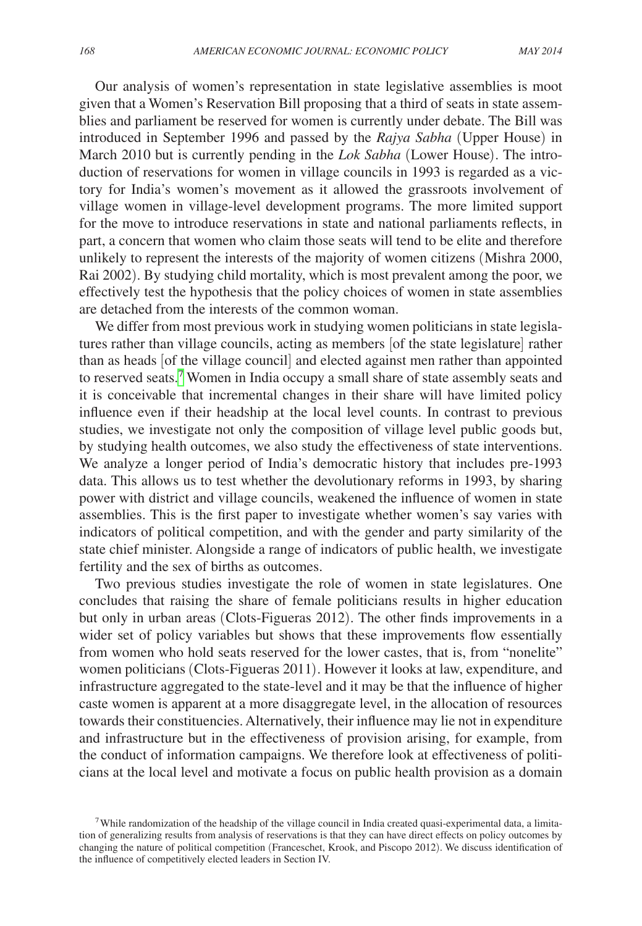Our analysis of women's representation in state legislative assemblies is moot given that a Women's Reservation Bill proposing that a third of seats in state assemblies and parliament be reserved for women is currently under debate. The Bill was introduced in September 1996 and passed by the *Rajya Sabha* (Upper House) in March 2010 but is currently pending in the *Lok Sabha* (Lower House). The introduction of reservations for women in village councils in 1993 is regarded as a victory for India's women's movement as it allowed the grassroots involvement of village women in village-level development programs. The more limited support for the move to introduce reservations in state and national parliaments reflects, in part, a concern that women who claim those seats will tend to be elite and therefore unlikely to represent the interests of the majority of women citizens (Mishra 2000, Rai 2002). By studying child mortality, which is most prevalent among the poor, we effectively test the hypothesis that the policy choices of women in state assemblies are detached from the interests of the common woman.

We differ from most previous work in studying women politicians in state legislatures rather than village councils, acting as members [of the state legislature] rather than as heads [of the village council] and elected against men rather than appointed to reserved seats.[7](#page-4-0) Women in India occupy a small share of state assembly seats and it is conceivable that incremental changes in their share will have limited policy influence even if their headship at the local level counts. In contrast to previous studies, we investigate not only the composition of village level public goods but, by studying health outcomes, we also study the effectiveness of state interventions. We analyze a longer period of India's democratic history that includes pre-1993 data. This allows us to test whether the devolutionary reforms in 1993, by sharing power with district and village councils, weakened the influence of women in state assemblies. This is the first paper to investigate whether women's say varies with indicators of political competition, and with the gender and party similarity of the state chief minister. Alongside a range of indicators of public health, we investigate fertility and the sex of births as outcomes.

Two previous studies investigate the role of women in state legislatures. One concludes that raising the share of female politicians results in higher education but only in urban areas (Clots-Figueras 2012). The other finds improvements in a wider set of policy variables but shows that these improvements flow essentially from women who hold seats reserved for the lower castes, that is, from "nonelite" women politicians (Clots-Figueras 2011). However it looks at law, expenditure, and infrastructure aggregated to the state-level and it may be that the influence of higher caste women is apparent at a more disaggregate level, in the allocation of resources towards their constituencies. Alternatively, their influence may lie not in expenditure and infrastructure but in the effectiveness of provision arising, for example, from the conduct of information campaigns. We therefore look at effectiveness of politicians at the local level and motivate a focus on public health provision as a domain

<span id="page-4-0"></span><sup>&</sup>lt;sup>7</sup>While randomization of the headship of the village council in India created quasi-experimental data, a limitation of generalizing results from analysis of reservations is that they can have direct effects on policy outcomes by changing the nature of political competition (Franceschet, Krook, and Piscopo 2012). We discuss identification of the influence of competitively elected leaders in Section IV.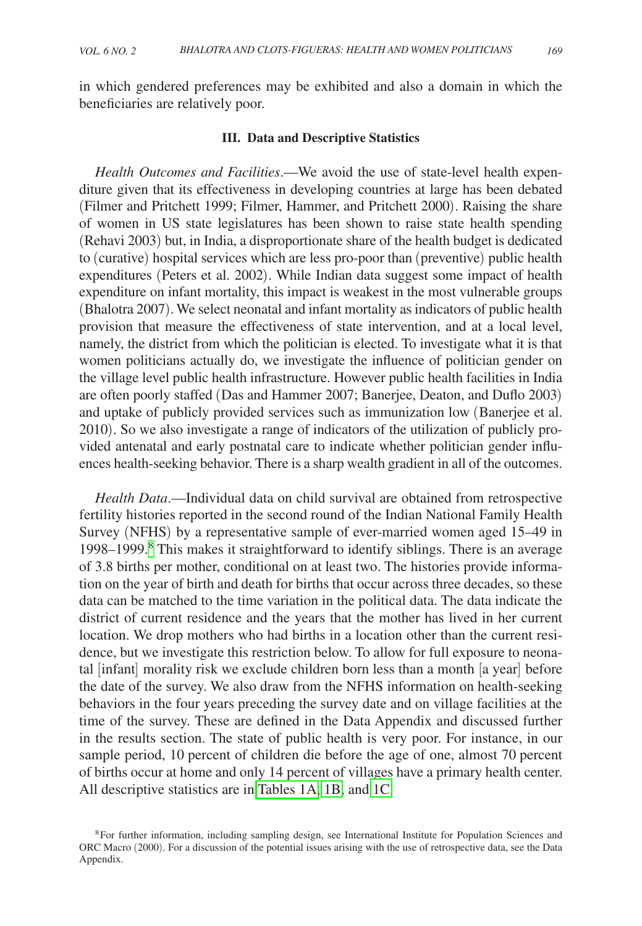in which gendered preferences may be exhibited and also a domain in which the beneficiaries are relatively poor.

### **III. Data and Descriptive Statistics**

*Health Outcomes and Facilities*.—We avoid the use of state-level health expenditure given that its effectiveness in developing countries at large has been debated (Filmer and Pritchett 1999; Filmer, Hammer, and Pritchett 2000). Raising the share of women in US state legislatures has been shown to raise state health spending (Rehavi 2003) but, in India, a disproportionate share of the health budget is dedicated to (curative) hospital services which are less pro-poor than (preventive) public health expenditures (Peters et al. 2002). While Indian data suggest some impact of health expenditure on infant mortality, this impact is weakest in the most vulnerable groups (Bhalotra 2007). We select neonatal and infant mortality as indicators of public health provision that measure the effectiveness of state intervention, and at a local level, namely, the district from which the politician is elected. To investigate what it is that women politicians actually do, we investigate the influence of politician gender on the village level public health infrastructure. However public health facilities in India are often poorly staffed (Das and Hammer 2007; Banerjee, Deaton, and Duflo 2003) and uptake of publicly provided services such as immunization low (Banerjee et al. 2010). So we also investigate a range of indicators of the utilization of publicly provided antenatal and early postnatal care to indicate whether politician gender influences health-seeking behavior. There is a sharp wealth gradient in all of the outcomes.

*Health Data*.—Individual data on child survival are obtained from retrospective fertility histories reported in the second round of the Indian National Family Health Survey (NFHS) by a representative sample of ever-married women aged 15–49 in 199[8](#page-5-0)–1999.<sup>8</sup> This makes it straightforward to identify siblings. There is an average of 3.8 births per mother, conditional on at least two. The histories provide information on the year of birth and death for births that occur across three decades, so these data can be matched to the time variation in the political data. The data indicate the district of current residence and the years that the mother has lived in her current location. We drop mothers who had births in a location other than the current residence, but we investigate this restriction below. To allow for full exposure to neonatal [infant] morality risk we exclude children born less than a month [a year] before the date of the survey. We also draw from the NFHS information on health-seeking behaviors in the four years preceding the survey date and on village facilities at the time of the survey. These are defined in the Data Appendix and discussed further in the results section. The state of public health is very poor. For instance, in our sample period, 10 percent of children die before the age of one, almost 70 percent of births occur at home and only 14 percent of villages have a primary health center. All descriptive statistics are in [Tables 1A,](#page-6-0) [1B,](#page-7-0) and [1C.](#page-8-0)

<span id="page-5-0"></span><sup>&</sup>lt;sup>8</sup>For further information, including sampling design, see International Institute for Population Sciences and ORC Macro (2000). For a discussion of the potential issues arising with the use of retrospective data, see the Data Appendix.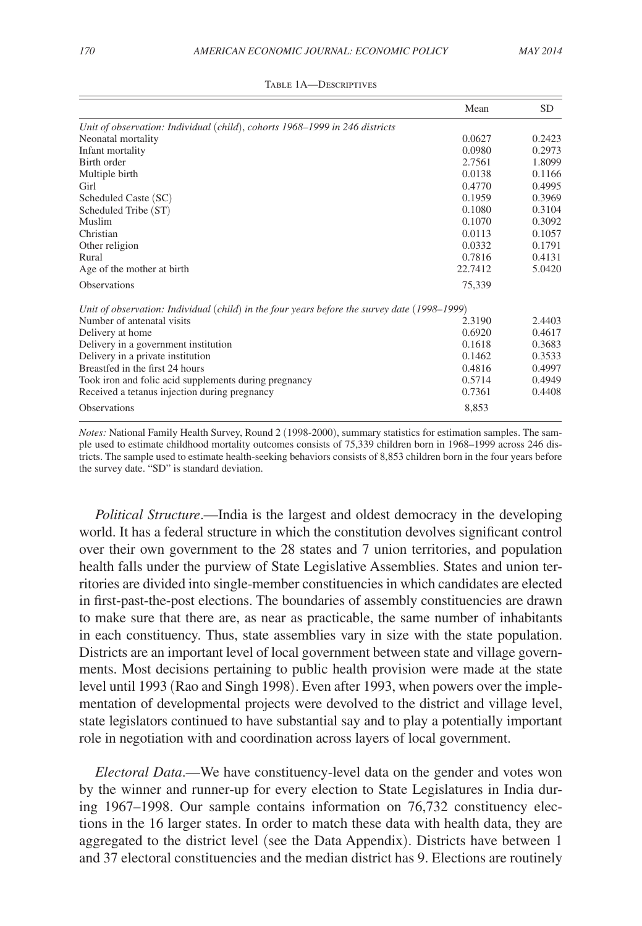<span id="page-6-0"></span>

|                                                                                              | Mean    | <b>SD</b> |
|----------------------------------------------------------------------------------------------|---------|-----------|
| Unit of observation: Individual (child), cohorts 1968–1999 in 246 districts                  |         |           |
| Neonatal mortality                                                                           | 0.0627  | 0.2423    |
| Infant mortality                                                                             | 0.0980  | 0.2973    |
| Birth order                                                                                  | 2.7561  | 1.8099    |
| Multiple birth                                                                               | 0.0138  | 0.1166    |
| Girl                                                                                         | 0.4770  | 0.4995    |
| Scheduled Caste (SC)                                                                         | 0.1959  | 0.3969    |
| Scheduled Tribe (ST)                                                                         | 0.1080  | 0.3104    |
| Muslim                                                                                       | 0.1070  | 0.3092    |
| Christian                                                                                    | 0.0113  | 0.1057    |
| Other religion                                                                               | 0.0332  | 0.1791    |
| Rural                                                                                        | 0.7816  | 0.4131    |
| Age of the mother at birth                                                                   | 22.7412 | 5.0420    |
| <b>Observations</b>                                                                          | 75,339  |           |
| Unit of observation: Individual (child) in the four years before the survey date (1998–1999) |         |           |
| Number of antenatal visits                                                                   | 2.3190  | 2.4403    |
| Delivery at home                                                                             | 0.6920  | 0.4617    |
| Delivery in a government institution                                                         | 0.1618  | 0.3683    |
| Delivery in a private institution                                                            | 0.1462  | 0.3533    |
| Breastfed in the first 24 hours                                                              | 0.4816  | 0.4997    |
| Took iron and folic acid supplements during pregnancy                                        | 0.5714  | 0.4949    |
| Received a tetanus injection during pregnancy                                                | 0.7361  | 0.4408    |
| <b>Observations</b>                                                                          | 8,853   |           |

#### Table 1A—Descriptives

*Notes:* National Family Health Survey, Round 2 (1998-2000), summary statistics for estimation samples. The sample used to estimate childhood mortality outcomes consists of 75,339 children born in 1968–1999 across 246 districts. The sample used to estimate health-seeking behaviors consists of 8,853 children born in the four years before the survey date. "SD" is standard deviation.

*Political Structure*.—India is the largest and oldest democracy in the developing world. It has a federal structure in which the constitution devolves significant control over their own government to the 28 states and 7 union territories, and population health falls under the purview of State Legislative Assemblies. States and union territories are divided into single-member constituencies in which candidates are elected in first-past-the-post elections. The boundaries of assembly constituencies are drawn to make sure that there are, as near as practicable, the same number of inhabitants in each constituency. Thus, state assemblies vary in size with the state population. Districts are an important level of local government between state and village governments. Most decisions pertaining to public health provision were made at the state level until 1993 (Rao and Singh 1998). Even after 1993, when powers over the implementation of developmental projects were devolved to the district and village level, state legislators continued to have substantial say and to play a potentially important role in negotiation with and coordination across layers of local government.

*Electoral Data*.—We have constituency-level data on the gender and votes won by the winner and runner-up for every election to State Legislatures in India during 1967–1998. Our sample contains information on 76,732 constituency elections in the 16 larger states. In order to match these data with health data, they are aggregated to the district level (see the Data Appendix). Districts have between 1 and 37 electoral constituencies and the median district has 9. Elections are routinely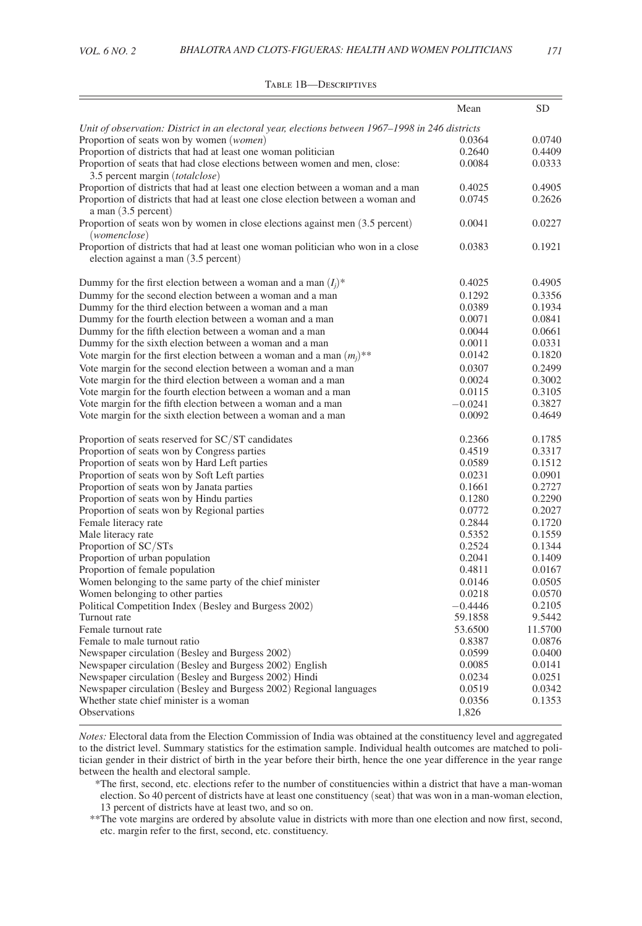<span id="page-7-0"></span>

|                                                                                                                           | Mean      | <b>SD</b> |
|---------------------------------------------------------------------------------------------------------------------------|-----------|-----------|
| Unit of observation: District in an electoral year, elections between 1967–1998 in 246 districts                          |           |           |
| Proportion of seats won by women ( <i>women</i> )                                                                         | 0.0364    | 0.0740    |
| Proportion of districts that had at least one woman politician                                                            | 0.2640    | 0.4409    |
| Proportion of seats that had close elections between women and men, close:<br>3.5 percent margin ( <i>totalclose</i> )    | 0.0084    | 0.0333    |
| Proportion of districts that had at least one election between a woman and a man                                          | 0.4025    | 0.4905    |
| Proportion of districts that had at least one close election between a woman and<br>a man (3.5 percent)                   | 0.0745    | 0.2626    |
| Proportion of seats won by women in close elections against men (3.5 percent)<br>(womenclose)                             | 0.0041    | 0.0227    |
| Proportion of districts that had at least one woman politician who won in a close<br>election against a man (3.5 percent) | 0.0383    | 0.1921    |
| Dummy for the first election between a woman and a man $(I_i)^*$                                                          | 0.4025    | 0.4905    |
| Dummy for the second election between a woman and a man                                                                   | 0.1292    | 0.3356    |
| Dummy for the third election between a woman and a man                                                                    | 0.0389    | 0.1934    |
| Dummy for the fourth election between a woman and a man                                                                   | 0.0071    | 0.0841    |
| Dummy for the fifth election between a woman and a man                                                                    | 0.0044    | 0.0661    |
| Dummy for the sixth election between a woman and a man                                                                    | 0.0011    | 0.0331    |
| Vote margin for the first election between a woman and a man $(m_i)$ **                                                   | 0.0142    | 0.1820    |
| Vote margin for the second election between a woman and a man                                                             | 0.0307    | 0.2499    |
| Vote margin for the third election between a woman and a man                                                              | 0.0024    | 0.3002    |
| Vote margin for the fourth election between a woman and a man                                                             | 0.0115    | 0.3105    |
| Vote margin for the fifth election between a woman and a man                                                              | $-0.0241$ | 0.3827    |
| Vote margin for the sixth election between a woman and a man                                                              | 0.0092    | 0.4649    |
| Proportion of seats reserved for SC/ST candidates                                                                         | 0.2366    | 0.1785    |
| Proportion of seats won by Congress parties                                                                               | 0.4519    | 0.3317    |
| Proportion of seats won by Hard Left parties                                                                              | 0.0589    | 0.1512    |
| Proportion of seats won by Soft Left parties                                                                              | 0.0231    | 0.0901    |
| Proportion of seats won by Janata parties                                                                                 | 0.1661    | 0.2727    |
| Proportion of seats won by Hindu parties                                                                                  | 0.1280    | 0.2290    |
| Proportion of seats won by Regional parties                                                                               | 0.0772    | 0.2027    |
| Female literacy rate                                                                                                      | 0.2844    | 0.1720    |
| Male literacy rate                                                                                                        | 0.5352    | 0.1559    |
| Proportion of SC/STs                                                                                                      | 0.2524    | 0.1344    |
| Proportion of urban population                                                                                            | 0.2041    | 0.1409    |
| Proportion of female population                                                                                           | 0.4811    | 0.0167    |
| Women belonging to the same party of the chief minister                                                                   | 0.0146    | 0.0505    |
| Women belonging to other parties                                                                                          | 0.0218    | 0.0570    |
| Political Competition Index (Besley and Burgess 2002)                                                                     | $-0.4446$ | 0.2105    |
| Turnout rate                                                                                                              | 59.1858   | 9.5442    |
| Female turnout rate                                                                                                       | 53.6500   | 11.5700   |
| Female to male turnout ratio                                                                                              | 0.8387    | 0.0876    |
| Newspaper circulation (Besley and Burgess 2002)                                                                           | 0.0599    | 0.0400    |
| Newspaper circulation (Besley and Burgess 2002) English                                                                   | 0.0085    | 0.0141    |
| Newspaper circulation (Besley and Burgess 2002) Hindi                                                                     | 0.0234    | 0.0251    |
| Newspaper circulation (Besley and Burgess 2002) Regional languages                                                        | 0.0519    | 0.0342    |
| Whether state chief minister is a woman                                                                                   | 0.0356    | 0.1353    |
| <b>Observations</b>                                                                                                       | 1,826     |           |

#### Table 1B—Descriptives

*Notes:* Electoral data from the Election Commission of India was obtained at the constituency level and aggregated to the district level. Summary statistics for the estimation sample. Individual health outcomes are matched to politician gender in their district of birth in the year before their birth, hence the one year difference in the year range between the health and electoral sample.

 \*The first, second, etc. elections refer to the number of constituencies within a district that have a man-woman election. So 40 percent of districts have at least one constituency (seat) that was won in a man-woman election, 13 percent of districts have at least two, and so on.

\*\*The vote margins are ordered by absolute value in districts with more than one election and now first, second, etc. margin refer to the first, second, etc. constituency.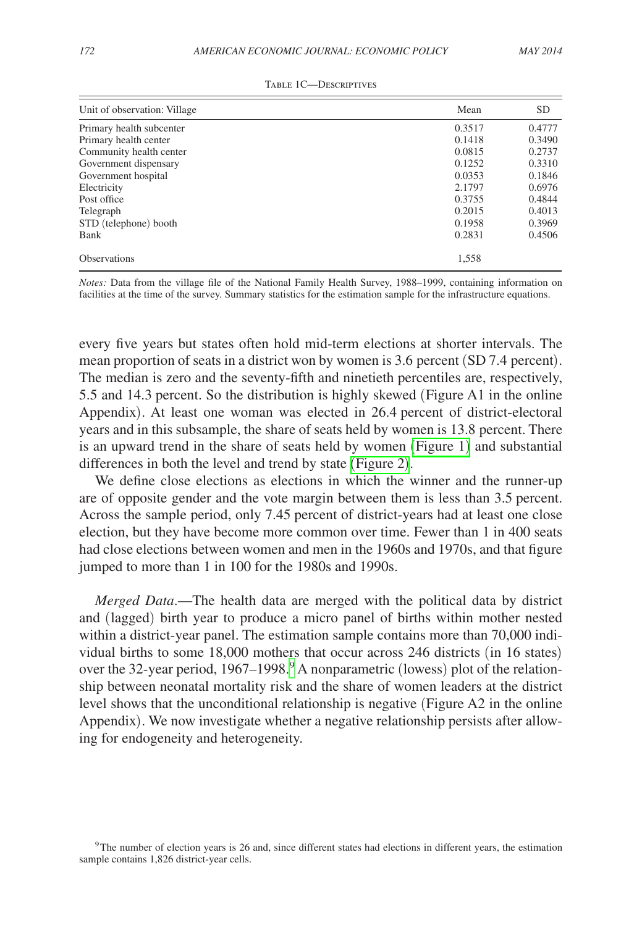<span id="page-8-0"></span>

| Unit of observation: Village | Mean   | <b>SD</b> |
|------------------------------|--------|-----------|
| Primary health subcenter     | 0.3517 | 0.4777    |
| Primary health center        | 0.1418 | 0.3490    |
| Community health center      | 0.0815 | 0.2737    |
| Government dispensary        | 0.1252 | 0.3310    |
| Government hospital          | 0.0353 | 0.1846    |
| Electricity                  | 2.1797 | 0.6976    |
| Post office                  | 0.3755 | 0.4844    |
| Telegraph                    | 0.2015 | 0.4013    |
| STD (telephone) booth        | 0.1958 | 0.3969    |
| Bank                         | 0.2831 | 0.4506    |
| <b>Observations</b>          | 1,558  |           |

*Notes:* Data from the village file of the National Family Health Survey, 1988–1999, containing information on facilities at the time of the survey. Summary statistics for the estimation sample for the infrastructure equations.

every five years but states often hold mid-term elections at shorter intervals. The mean proportion of seats in a district won by women is 3.6 percent (SD 7.4 percent). The median is zero and the seventy-fifth and ninetieth percentiles are, respectively, 5.5 and 14.3 percent. So the distribution is highly skewed (Figure A1 in the online Appendix). At least one woman was elected in 26.4 percent of district-electoral years and in this subsample, the share of seats held by women is 13.8 percent. There is an upward trend in the share of seats held by women ([Figure 1](#page-9-0)) and substantial differences in both the level and trend by state ([Figure 2](#page-9-0)).

We define close elections as elections in which the winner and the runner-up are of opposite gender and the vote margin between them is less than 3.5 percent. Across the sample period, only 7.45 percent of district-years had at least one close election, but they have become more common over time. Fewer than 1 in 400 seats had close elections between women and men in the 1960s and 1970s, and that figure jumped to more than 1 in 100 for the 1980s and 1990s.

*Merged Data*.—The health data are merged with the political data by district and (lagged) birth year to produce a micro panel of births within mother nested within a district-year panel. The estimation sample contains more than 70,000 individual births to some 18,000 mothers that occur across 246 districts (in 16 states) over the 32-year period, 1[9](#page-8-1)67–1998.<sup>9</sup> A nonparametric (lowess) plot of the relationship between neonatal mortality risk and the share of women leaders at the district level shows that the unconditional relationship is negative (Figure A2 in the online Appendix). We now investigate whether a negative relationship persists after allowing for endogeneity and heterogeneity.

<span id="page-8-1"></span><sup>&</sup>lt;sup>9</sup>The number of election years is 26 and, since different states had elections in different years, the estimation sample contains 1,826 district-year cells.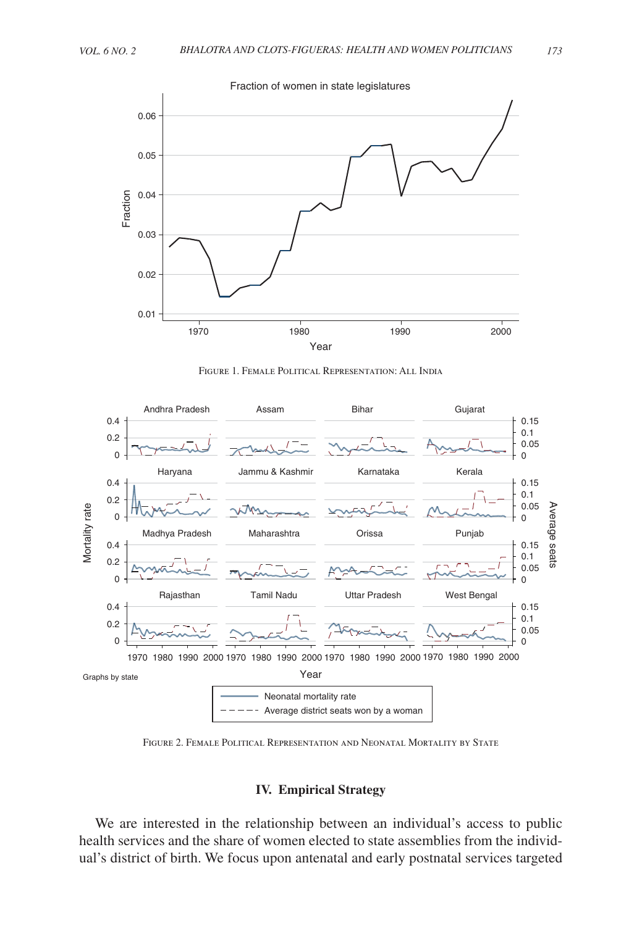<span id="page-9-0"></span>

Figure 1. Female Political Representation: All India



Figure 2. Female Political Representation and Neonatal Mortality by State

#### **IV. Empirical Strategy**

We are interested in the relationship between an individual's access to public health services and the share of women elected to state assemblies from the individual's district of birth. We focus upon antenatal and early postnatal services targeted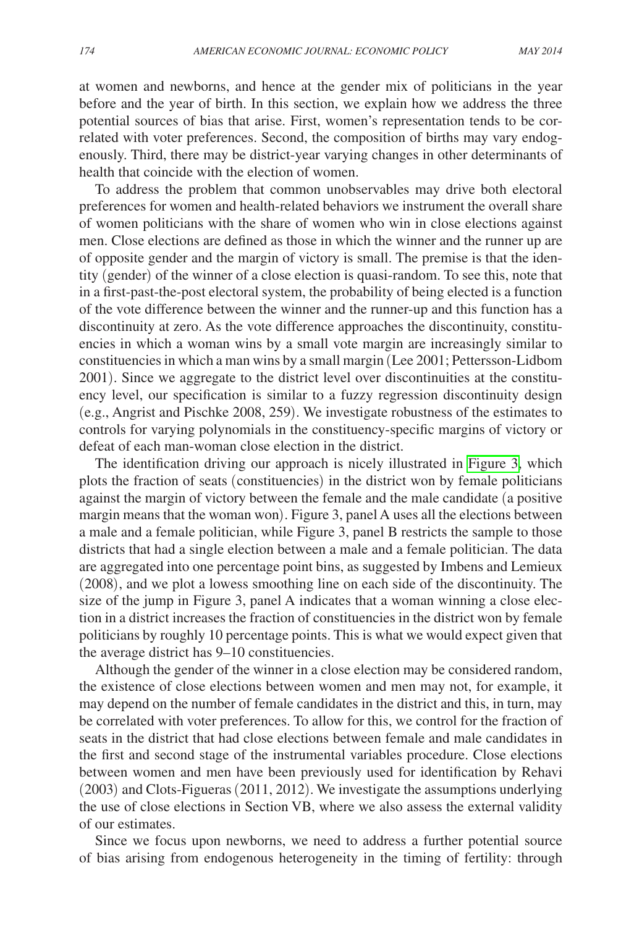at women and newborns, and hence at the gender mix of politicians in the year before and the year of birth. In this section, we explain how we address the three potential sources of bias that arise. First, women's representation tends to be correlated with voter preferences. Second, the composition of births may vary endogenously. Third, there may be district-year varying changes in other determinants of health that coincide with the election of women.

To address the problem that common unobservables may drive both electoral preferences for women and health-related behaviors we instrument the overall share of women politicians with the share of women who win in close elections against men. Close elections are defined as those in which the winner and the runner up are of opposite gender and the margin of victory is small. The premise is that the identity (gender) of the winner of a close election is quasi-random. To see this, note that in a first-past-the-post electoral system, the probability of being elected is a function of the vote difference between the winner and the runner-up and this function has a discontinuity at zero. As the vote difference approaches the discontinuity, constituencies in which a woman wins by a small vote margin are increasingly similar to constituencies in which a man wins by a small margin (Lee 2001; Pettersson-Lidbom 2001). Since we aggregate to the district level over discontinuities at the constituency level, our specification is similar to a fuzzy regression discontinuity design (e.g., Angrist and Pischke 2008, 259). We investigate robustness of the estimates to controls for varying polynomials in the constituency-specific margins of victory or defeat of each man-woman close election in the district.

The identification driving our approach is nicely illustrated in [Figure 3,](#page-11-0) which plots the fraction of seats (constituencies) in the district won by female politicians against the margin of victory between the female and the male candidate (a positive margin means that the woman won). Figure 3, panel A uses all the elections between a male and a female politician, while Figure 3, panel B restricts the sample to those districts that had a single election between a male and a female politician. The data are aggregated into one percentage point bins, as suggested by Imbens and Lemieux (2008), and we plot a lowess smoothing line on each side of the discontinuity. The size of the jump in Figure 3, panel A indicates that a woman winning a close election in a district increases the fraction of constituencies in the district won by female politicians by roughly 10 percentage points. This is what we would expect given that the average district has 9–10 constituencies.

Although the gender of the winner in a close election may be considered random, the existence of close elections between women and men may not, for example, it may depend on the number of female candidates in the district and this, in turn, may be correlated with voter preferences. To allow for this, we control for the fraction of seats in the district that had close elections between female and male candidates in the first and second stage of the instrumental variables procedure. Close elections between women and men have been previously used for identification by Rehavi (2003) and Clots-Figueras (2011, 2012). We investigate the assumptions underlying the use of close elections in Section VB, where we also assess the external validity of our estimates.

Since we focus upon newborns, we need to address a further potential source of bias arising from endogenous heterogeneity in the timing of fertility: through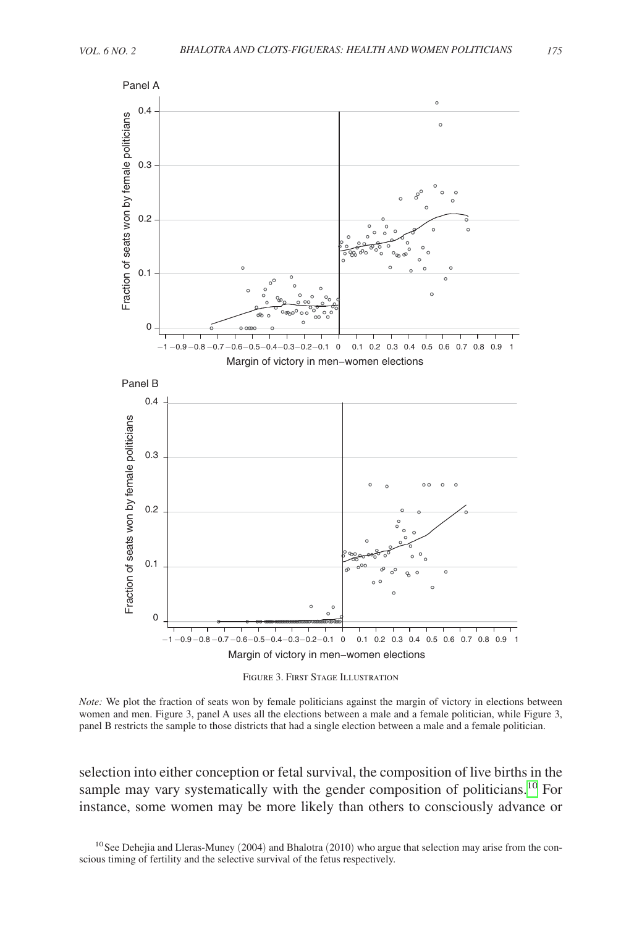<span id="page-11-0"></span>

Figure 3. First Stage Illustration

*Note:* We plot the fraction of seats won by female politicians against the margin of victory in elections between women and men. Figure 3, panel A uses all the elections between a male and a female politician, while Figure 3, panel B restricts the sample to those districts that had a single election between a male and a female politician.

selection into either conception or fetal survival, the composition of live births in the sample may vary systematically with the gender composition of politicians.<sup>10</sup> For instance, some women may be more likely than others to consciously advance or

<span id="page-11-1"></span> $10$  See Dehejia and Lleras-Muney (2004) and Bhalotra (2010) who argue that selection may arise from the conscious timing of fertility and the selective survival of the fetus respectively.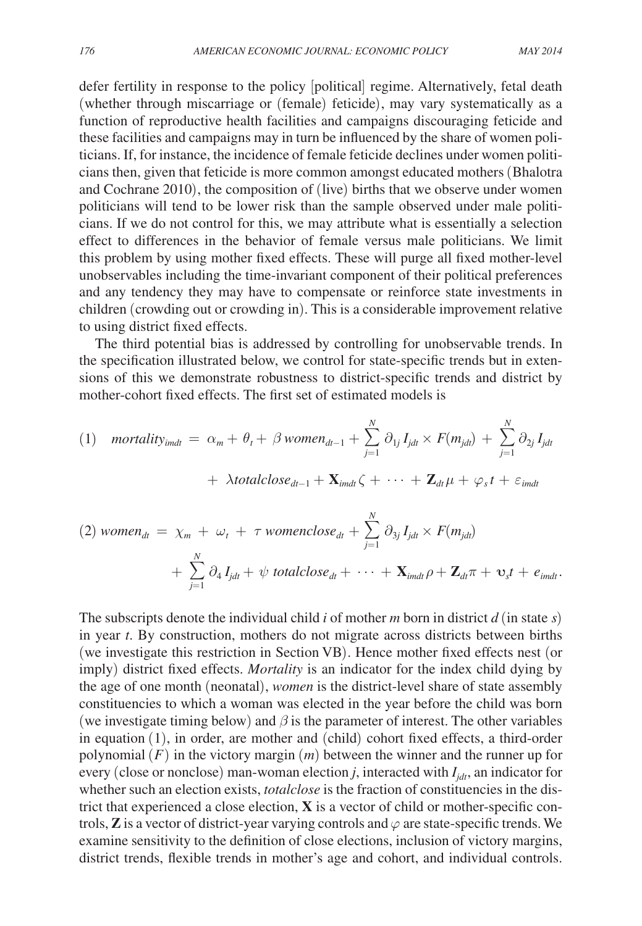defer fertility in response to the policy [political] regime. Alternatively, fetal death (whether through miscarriage or (female) feticide), may vary systematically as a function of reproductive health facilities and campaigns discouraging feticide and these facilities and campaigns may in turn be influenced by the share of women politicians. If, for instance, the incidence of female feticide declines under women politicians then, given that feticide is more common amongst educated mothers (Bhalotra and Cochrane 2010), the composition of (live) births that we observe under women politicians will tend to be lower risk than the sample observed under male politicians. If we do not control for this, we may attribute what is essentially a selection effect to differences in the behavior of female versus male politicians. We limit this problem by using mother fixed effects. These will purge all fixed mother-level unobservables including the time-invariant component of their political preferences and any tendency they may have to compensate or reinforce state investments in children (crowding out or crowding in). This is a considerable improvement relative to using district fixed effects.

The third potential bias is addressed by controlling for unobservable trends. In the specification illustrated below, we control for state-specific trends but in extensions of this we demonstrate robustness to district-specific trends and district by mother-cohort fixed effects. The first set of estimated models is

(1) *mortality*<sub>imdt</sub> = 
$$
\alpha_m + \theta_t + \beta
$$
 women<sub>dt-1</sub> +  $\sum_{j=1}^{N} \partial_{1j} I_{jdt} \times F(m_{jdt}) + \sum_{j=1}^{N} \partial_{2j} I_{jdt}$   
+  $\lambda$  totalclose<sub>dt-1</sub> +  $\mathbf{X}_{imdt} \zeta + \cdots + \mathbf{Z}_{dt} \mu + \varphi_s t + \varepsilon_{imdt}$ 

(2) 
$$
\text{women}_{dt} = \chi_m + \omega_t + \tau \text{womenclose}_{dt} + \sum_{j=1}^{N} \partial_{3j} I_{jdt} \times F(m_{jdt}) + \sum_{j=1}^{N} \partial_4 I_{jdt} + \psi \text{ totalclose}_{dt} + \cdots + \mathbf{X}_{imdt} \rho + \mathbf{Z}_{dt} \pi + \mathbf{v}_s t + e_{imdt}.
$$

The subscripts denote the individual child *i* of mother *m* born in district  $d$  (in state  $s$ ) in year *t*. By construction, mothers do not migrate across districts between births (we investigate this restriction in Section VB). Hence mother fixed effects nest (or imply) district fixed effects. *Mortality* is an indicator for the index child dying by the age of one month (neonatal), *women* is the district-level share of state assembly constituencies to which a woman was elected in the year before the child was born (we investigate timing below) and  $\beta$  is the parameter of interest. The other variables in equation (1), in order, are mother and (child) cohort fixed effects, a third-order polynomial (*F*) in the victory margin (*m*) between the winner and the runner up for every (close or nonclose) man-woman election  $j$ , interacted with  $I_{idt}$ , an indicator for whether such an election exists, *totalclose* is the fraction of constituencies in the district that experienced a close election, **X** is a vector of child or mother-specific controls,  $\mathbf{Z}$  is a vector of district-year varying controls and  $\varphi$  are state-specific trends. We examine sensitivity to the definition of close elections, inclusion of victory margins, district trends, flexible trends in mother's age and cohort, and individual controls.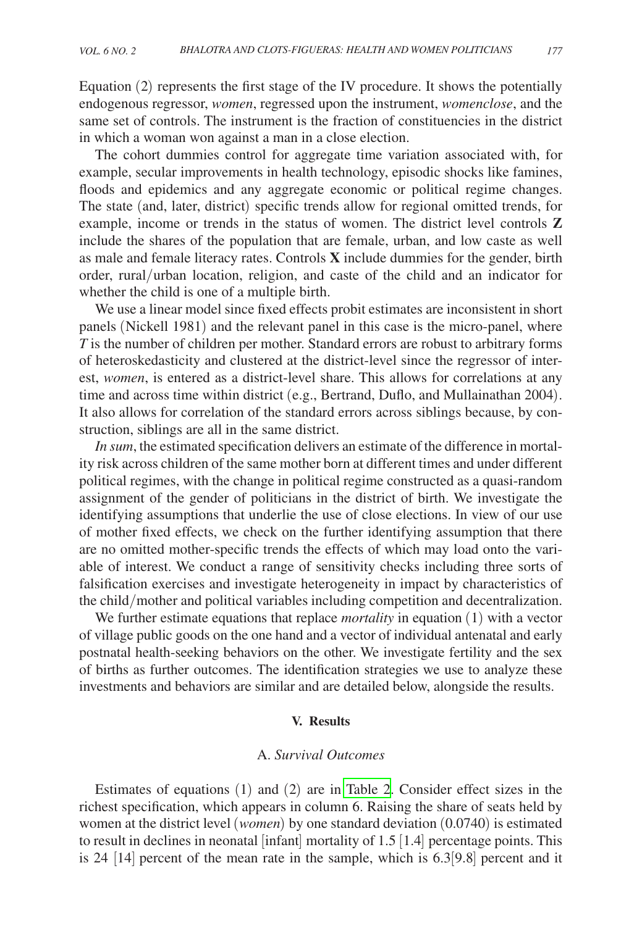Equation (2) represents the first stage of the IV procedure. It shows the potentially endogenous regressor, *women*, regressed upon the instrument, *womenclose*, and the same set of controls. The instrument is the fraction of constituencies in the district in which a woman won against a man in a close election.

The cohort dummies control for aggregate time variation associated with, for example, secular improvements in health technology, episodic shocks like famines, floods and epidemics and any aggregate economic or political regime changes. The state (and, later, district) specific trends allow for regional omitted trends, for example, income or trends in the status of women. The district level controls **Z** include the shares of the population that are female, urban, and low caste as well as male and female literacy rates. Controls **X** include dummies for the gender, birth order, rural/urban location, religion, and caste of the child and an indicator for whether the child is one of a multiple birth.

We use a linear model since fixed effects probit estimates are inconsistent in short panels (Nickell 1981) and the relevant panel in this case is the micro-panel, where *T* is the number of children per mother. Standard errors are robust to arbitrary forms of heteroskedasticity and clustered at the district-level since the regressor of interest, *women*, is entered as a district-level share. This allows for correlations at any time and across time within district (e.g., Bertrand, Duflo, and Mullainathan 2004). It also allows for correlation of the standard errors across siblings because, by construction, siblings are all in the same district.

*In sum*, the estimated specification delivers an estimate of the difference in mortality risk across children of the same mother born at different times and under different political regimes, with the change in political regime constructed as a quasi-random assignment of the gender of politicians in the district of birth. We investigate the identifying assumptions that underlie the use of close elections. In view of our use of mother fixed effects, we check on the further identifying assumption that there are no omitted mother-specific trends the effects of which may load onto the variable of interest. We conduct a range of sensitivity checks including three sorts of falsification exercises and investigate heterogeneity in impact by characteristics of the child/mother and political variables including competition and decentralization.

We further estimate equations that replace *mortality* in equation (1) with a vector of village public goods on the one hand and a vector of individual antenatal and early postnatal health-seeking behaviors on the other. We investigate fertility and the sex of births as further outcomes. The identification strategies we use to analyze these investments and behaviors are similar and are detailed below, alongside the results.

# **V. Results**

### A. *Survival Outcomes*

Estimates of equations (1) and (2) are in [Table 2.](#page-14-0) Consider effect sizes in the richest specification, which appears in column 6. Raising the share of seats held by women at the district level (*women*) by one standard deviation (0.0740) is estimated to result in declines in neonatal [infant] mortality of 1.5 [1.4] percentage points. This is 24 [14] percent of the mean rate in the sample, which is 6.3[9.8] percent and it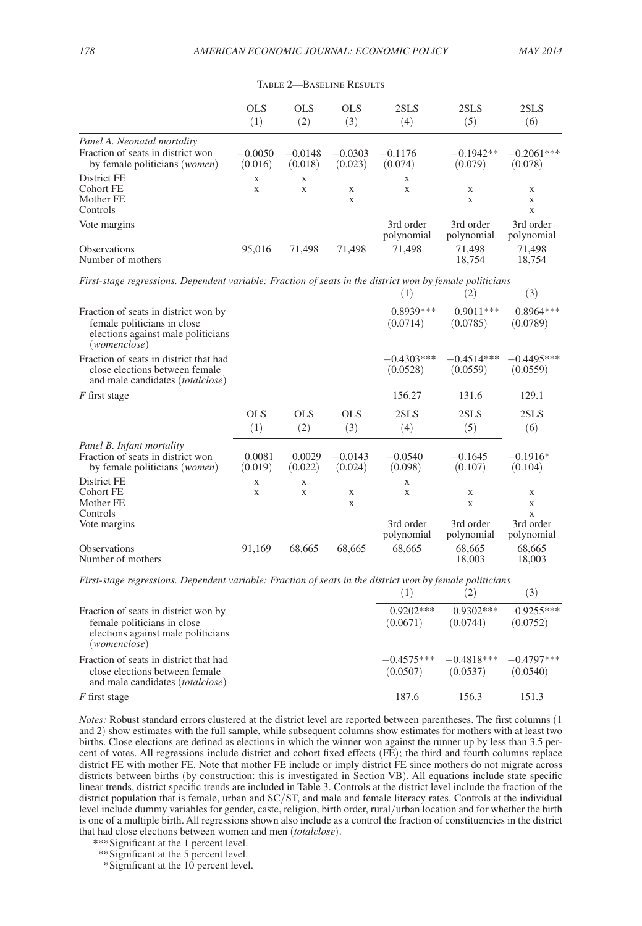<span id="page-14-0"></span>

|                                                                             | <b>OLS</b>           | OLS.                 | OLS                  | 2SLS                    | 2SLS                    | 2SLS                    |
|-----------------------------------------------------------------------------|----------------------|----------------------|----------------------|-------------------------|-------------------------|-------------------------|
|                                                                             | (1)                  | (2)                  | $\left(3\right)$     | $\left( 4\right)$       | (5)                     | (6)                     |
| Panel A. Neonatal mortality                                                 |                      |                      |                      |                         |                         |                         |
| Fraction of seats in district won<br>by female politicians ( <i>women</i> ) | $-0.0050$<br>(0.016) | $-0.0148$<br>(0.018) | $-0.0303$<br>(0.023) | $-0.1176$<br>(0.074)    | $-0.1942**$<br>(0.079)  | $-0.2061***$<br>(0.078) |
| District FE                                                                 | X                    | X                    |                      | X                       |                         |                         |
| Cohort FE                                                                   | X                    | X                    | X                    | X                       | X                       | X                       |
| Mother FE                                                                   |                      |                      | X                    |                         | X                       | X                       |
| Controls                                                                    |                      |                      |                      |                         |                         | X                       |
| Vote margins                                                                |                      |                      |                      | 3rd order<br>polynomial | 3rd order<br>polynomial | 3rd order<br>polynomial |
| <b>Observations</b>                                                         | 95.016               | 71.498               | 71.498               | 71.498                  | 71,498                  | 71,498                  |
| Number of mothers                                                           |                      |                      |                      |                         | 18.754                  | 18,754                  |

Table 2—Baseline Results

*First-stage regressions. Dependent variable: Fraction of seats in the district won by female politicians*

|                                                                                                                           |                   |                   |                      | (1)                      | $\left( 2\right)$        | (3)                             |
|---------------------------------------------------------------------------------------------------------------------------|-------------------|-------------------|----------------------|--------------------------|--------------------------|---------------------------------|
| Fraction of seats in district won by<br>female politicians in close<br>elections against male politicians<br>(womenclose) |                   |                   |                      | 0.8939***<br>(0.0714)    | $0.9011***$<br>(0.0785)  | 0.8964 ***<br>(0.0789)          |
| Fraction of seats in district that had<br>close elections between female<br>and male candidates <i>(totalclose)</i>       |                   |                   |                      | $-0.4303***$<br>(0.0528) | $-0.4514***$<br>(0.0559) | $-0.4495***$<br>(0.0559)        |
| F first stage                                                                                                             |                   |                   |                      | 156.27                   | 131.6                    | 129.1                           |
|                                                                                                                           | <b>OLS</b>        | <b>OLS</b>        | <b>OLS</b>           | 2SLS                     | 2SLS                     | 2SLS                            |
|                                                                                                                           | (1)               | (2)               | (3)                  | (4)                      | (5)                      | (6)                             |
| Panel B. Infant mortality<br>Fraction of seats in district won<br>by female politicians (women)                           | 0.0081<br>(0.019) | 0.0029<br>(0.022) | $-0.0143$<br>(0.024) | $-0.0540$<br>(0.098)     | $-0.1645$<br>(0.107)     | $-0.1916*$<br>(0.104)           |
| District FE                                                                                                               | X                 | X                 |                      | X                        |                          |                                 |
| Cohort FE<br>Mother FE<br>Controls                                                                                        | X                 | X                 | X<br>X               | X                        | X<br>X                   | $\mathbf x$<br>X<br>$\mathbf x$ |
| Vote margins                                                                                                              |                   |                   |                      | 3rd order<br>polynomial  | 3rd order<br>polynomial  | 3rd order<br>polynomial         |
| <b>Observations</b><br>Number of mothers                                                                                  | 91,169            | 68,665            | 68,665               | 68,665                   | 68,665<br>18,003         | 68,665<br>18,003                |

*First-stage regressions. Dependent variable: Fraction of seats in the district won by female politicians*

|                                                                                                                           | Ί.                       | 2                        | $\left(3\right)$         |
|---------------------------------------------------------------------------------------------------------------------------|--------------------------|--------------------------|--------------------------|
| Fraction of seats in district won by<br>female politicians in close<br>elections against male politicians<br>(womenclose) | $0.9202***$<br>(0.0671)  | $0.9302***$<br>(0.0744)  | $0.9255***$<br>(0.0752)  |
| Fraction of seats in district that had<br>close elections between female<br>and male candidates ( <i>totalclose</i> )     | $-0.4575***$<br>(0.0507) | $-0.4818***$<br>(0.0537) | $-0.4797***$<br>(0.0540) |
| F first stage                                                                                                             | 187.6                    | 156.3                    | 151.3                    |

*Notes:* Robust standard errors clustered at the district level are reported between parentheses. The first columns (1 and 2) show estimates with the full sample, while subsequent columns show estimates for mothers with at least two births. Close elections are defined as elections in which the winner won against the runner up by less than 3.5 percent of votes. All regressions include district and cohort fixed effects (FE); the third and fourth columns replace district FE with mother FE. Note that mother FE include or imply district FE since mothers do not migrate across districts between births (by construction: this is investigated in Section VB). All equations include state specific linear trends, district specific trends are included in Table 3. Controls at the district level include the fraction of the district population that is female, urban and SC/ST, and male and female literacy rates. Controls at the individual level include dummy variables for gender, caste, religion, birth order, rural/urban location and for whether the birth is one of a multiple birth. All regressions shown also include as a control the fraction of constituencies in the district that had close elections between women and men (*totalclose*).

*<sup>\*\*\*</sup>*Significant at the 1 percent level.

*<sup>\*\*</sup>*Significant at the 5 percent level.

 *<sup>\*</sup>*Significant at the 10 percent level.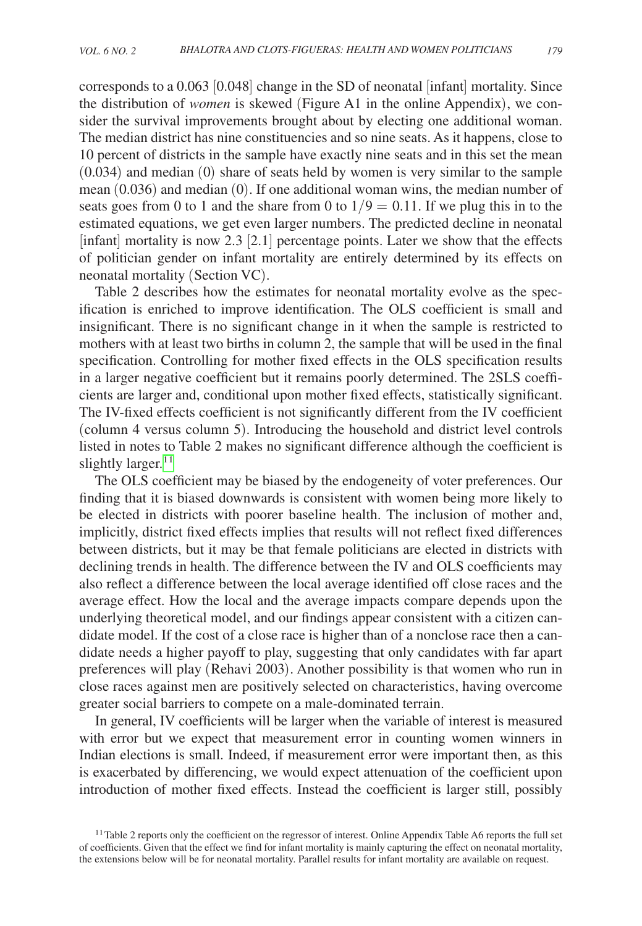corresponds to a 0.063 [0.048] change in the SD of neonatal [infant] mortality. Since the distribution of *women* is skewed (Figure A1 in the online Appendix), we consider the survival improvements brought about by electing one additional woman. The median district has nine constituencies and so nine seats. As it happens, close to 10 percent of districts in the sample have exactly nine seats and in this set the mean (0.034) and median (0) share of seats held by women is very similar to the sample mean (0.036) and median (0). If one additional woman wins, the median number of seats goes from 0 to 1 and the share from 0 to  $1/9 = 0.11$ . If we plug this in to the estimated equations, we get even larger numbers. The predicted decline in neonatal [infant] mortality is now 2.3 [2.1] percentage points. Later we show that the effects of politician gender on infant mortality are entirely determined by its effects on neonatal mortality (Section VC).

Table 2 describes how the estimates for neonatal mortality evolve as the specification is enriched to improve identification. The OLS coefficient is small and insignificant. There is no significant change in it when the sample is restricted to mothers with at least two births in column 2, the sample that will be used in the final specification. Controlling for mother fixed effects in the OLS specification results in a larger negative coefficient but it remains poorly determined. The 2SLS coefficients are larger and, conditional upon mother fixed effects, statistically significant. The IV-fixed effects coefficient is not significantly different from the IV coefficient (column 4 versus column 5). Introducing the household and district level controls listed in notes to Table 2 makes no significant difference although the coefficient is slightly larger. $11$ 

The OLS coefficient may be biased by the endogeneity of voter preferences. Our finding that it is biased downwards is consistent with women being more likely to be elected in districts with poorer baseline health. The inclusion of mother and, implicitly, district fixed effects implies that results will not reflect fixed differences between districts, but it may be that female politicians are elected in districts with declining trends in health. The difference between the IV and OLS coefficients may also reflect a difference between the local average identified off close races and the average effect. How the local and the average impacts compare depends upon the underlying theoretical model, and our findings appear consistent with a citizen candidate model. If the cost of a close race is higher than of a nonclose race then a candidate needs a higher payoff to play, suggesting that only candidates with far apart preferences will play (Rehavi 2003). Another possibility is that women who run in close races against men are positively selected on characteristics, having overcome greater social barriers to compete on a male-dominated terrain.

In general, IV coefficients will be larger when the variable of interest is measured with error but we expect that measurement error in counting women winners in Indian elections is small. Indeed, if measurement error were important then, as this is exacerbated by differencing, we would expect attenuation of the coefficient upon introduction of mother fixed effects. Instead the coefficient is larger still, possibly

<span id="page-15-0"></span><sup>&</sup>lt;sup>11</sup>Table 2 reports only the coefficient on the regressor of interest. Online Appendix Table A6 reports the full set of coefficients. Given that the effect we find for infant mortality is mainly capturing the effect on neonatal mortality, the extensions below will be for neonatal mortality. Parallel results for infant mortality are available on request.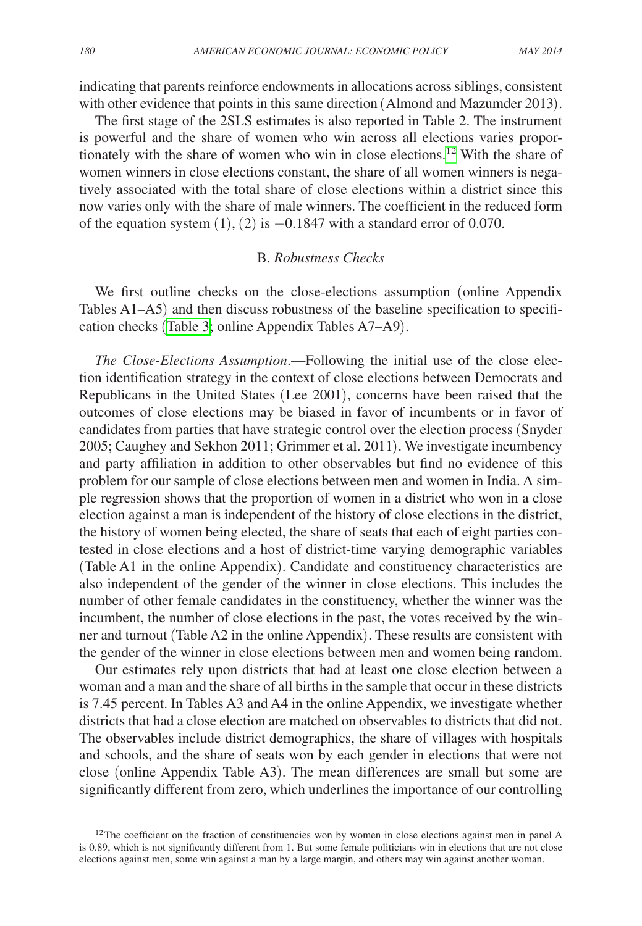indicating that parents reinforce endowments in allocations across siblings, consistent with other evidence that points in this same direction (Almond and Mazumder 2013).

The first stage of the 2SLS estimates is also reported in Table 2. The instrument is powerful and the share of women who win across all elections varies proportionately with the share of women who win in close elections.<sup>12</sup> With the share of women winners in close elections constant, the share of all women winners is negatively associated with the total share of close elections within a district since this now varies only with the share of male winners. The coefficient in the reduced form of the equation system  $(1)$ ,  $(2)$  is  $-0.1847$  with a standard error of 0.070.

# B. *Robustness Checks*

We first outline checks on the close-elections assumption (online Appendix Tables A1–A5) and then discuss robustness of the baseline specification to specification checks ([Table 3;](#page-17-0) online Appendix Tables A7–A9).

*The Close-Elections Assumption*.—Following the initial use of the close election identification strategy in the context of close elections between Democrats and Republicans in the United States (Lee 2001), concerns have been raised that the outcomes of close elections may be biased in favor of incumbents or in favor of candidates from parties that have strategic control over the election process (Snyder 2005; Caughey and Sekhon 2011; Grimmer et al. 2011). We investigate incumbency and party affiliation in addition to other observables but find no evidence of this problem for our sample of close elections between men and women in India. A simple regression shows that the proportion of women in a district who won in a close election against a man is independent of the history of close elections in the district, the history of women being elected, the share of seats that each of eight parties contested in close elections and a host of district-time varying demographic variables (Table A1 in the online Appendix). Candidate and constituency characteristics are also independent of the gender of the winner in close elections. This includes the number of other female candidates in the constituency, whether the winner was the incumbent, the number of close elections in the past, the votes received by the winner and turnout (Table A2 in the online Appendix). These results are consistent with the gender of the winner in close elections between men and women being random.

Our estimates rely upon districts that had at least one close election between a woman and a man and the share of all births in the sample that occur in these districts is 7.45 percent. In Tables A3 and A4 in the online Appendix, we investigate whether districts that had a close election are matched on observables to districts that did not. The observables include district demographics, the share of villages with hospitals and schools, and the share of seats won by each gender in elections that were not close (online Appendix Table A3). The mean differences are small but some are significantly different from zero, which underlines the importance of our controlling

<span id="page-16-0"></span> $12$ The coefficient on the fraction of constituencies won by women in close elections against men in panel A is 0.89, which is not significantly different from 1. But some female politicians win in elections that are not close elections against men, some win against a man by a large margin, and others may win against another woman.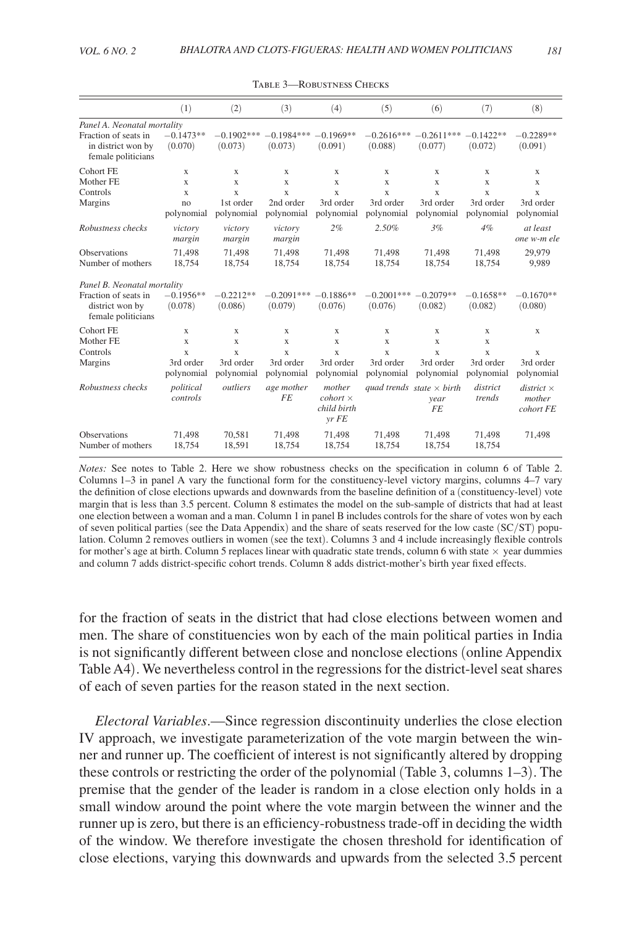<span id="page-17-0"></span>

|                                                                  | (1)                     | (2)                     | (3)                     | (4)                                              | (5)                     | (6)                                                   | (7)                     | (8)                                      |
|------------------------------------------------------------------|-------------------------|-------------------------|-------------------------|--------------------------------------------------|-------------------------|-------------------------------------------------------|-------------------------|------------------------------------------|
| Panel A. Neonatal mortality                                      |                         |                         |                         |                                                  |                         |                                                       |                         |                                          |
| Fraction of seats in<br>in district won by<br>female politicians | $-0.1473**$<br>(0.070)  | $-0.1902***$<br>(0.073) | $-0.1984***$<br>(0.073) | $-0.1969**$<br>(0.091)                           | $-0.2616***$<br>(0.088) | $-0.2611***$<br>(0.077)                               | $-0.1422**$<br>(0.072)  | $-0.2289**$<br>(0.091)                   |
| Cohort FE                                                        | X                       | X                       | X                       | X                                                | X                       | X                                                     | X                       | X                                        |
| Mother FE                                                        | $\mathbf x$             | $\mathbf x$             | $\mathbf x$             | X                                                | X                       | X                                                     | X                       | $\mathbf x$                              |
| Controls                                                         | X                       | $\mathbf x$             | X                       | X                                                | X                       | X                                                     | X                       | $\mathbf x$                              |
| Margins                                                          | no<br>polynomial        | 1st order<br>polynomial | 2nd order<br>polynomial | 3rd order<br>polynomial                          | 3rd order<br>polynomial | 3rd order<br>polynomial                               | 3rd order<br>polynomial | 3rd order<br>polynomial                  |
| Robustness checks                                                | victory<br>margin       | victory<br>margin       | victory<br>margin       | 2%                                               | 2.50%                   | 3%                                                    | $4\%$                   | at least<br>one w-m ele                  |
| <b>Observations</b><br>Number of mothers                         | 71,498<br>18,754        | 71,498<br>18,754        | 71,498<br>18,754        | 71,498<br>18,754                                 | 71,498<br>18,754        | 71,498<br>18,754                                      | 71,498<br>18,754        | 29,979<br>9,989                          |
| Panel B. Neonatal mortality                                      |                         |                         |                         |                                                  |                         |                                                       |                         |                                          |
| Fraction of seats in<br>district won by<br>female politicians    | $-0.1956**$<br>(0.078)  | $-0.2212**$<br>(0.086)  | $-0.2091***$<br>(0.079) | $-0.1886**$<br>(0.076)                           | $-0.2001***$<br>(0.076) | $-0.2079**$<br>(0.082)                                | $-0.1658**$<br>(0.082)  | $-0.1670**$<br>(0.080)                   |
| Cohort FE                                                        | $\mathbf x$             | X                       | X                       | X                                                | X                       | X                                                     | X                       | X                                        |
| Mother FE                                                        | $\mathbf x$             | X                       | X                       | X                                                | X                       | X                                                     | $\mathbf x$             |                                          |
| Controls                                                         | $\mathbf x$             | X                       | X                       | X                                                | X                       | X                                                     | $\mathbf x$             | X                                        |
| Margins                                                          | 3rd order<br>polynomial | 3rd order<br>polynomial | 3rd order<br>polynomial | 3rd order<br>polynomial                          | 3rd order<br>polynomial | 3rd order<br>polynomial                               | 3rd order<br>polynomial | 3rd order<br>polynomial                  |
| Robustness checks                                                | political<br>controls   | outliers                | age mother<br>FE.       | mother<br>$cohort \times$<br>child birth<br>vrFE |                         | quad trends state $\times$ birth<br>year<br><b>FE</b> | district<br>trends      | $district \times$<br>mother<br>cohort FE |
| <b>Observations</b><br>Number of mothers                         | 71,498<br>18754         | 70,581<br>18.591        | 71,498<br>18754         | 71,498<br>18754                                  | 71,498<br>18754         | 71,498<br>18754                                       | 71,498<br>18754         | 71,498                                   |

Table 3—Robustness Checks

*Notes:* See notes to Table 2. Here we show robustness checks on the specification in column 6 of Table 2. Columns 1–3 in panel A vary the functional form for the constituency-level victory margins, columns 4–7 vary the definition of close elections upwards and downwards from the baseline definition of a (constituency-level) vote margin that is less than 3.5 percent. Column 8 estimates the model on the sub-sample of districts that had at least one election between a woman and a man. Column 1 in panel B includes controls for the share of votes won by each of seven political parties (see the Data Appendix) and the share of seats reserved for the low caste (SC/ST) population. Column 2 removes outliers in women (see the text). Columns 3 and 4 include increasingly flexible controls for mother's age at birth. Column 5 replaces linear with quadratic state trends, column 6 with state  $\times$  year dummies and column 7 adds district-specific cohort trends. Column 8 adds district-mother's birth year fixed effects.

for the fraction of seats in the district that had close elections between women and men. The share of constituencies won by each of the main political parties in India is not significantly different between close and nonclose elections (online Appendix Table A4). We nevertheless control in the regressions for the district-level seat shares of each of seven parties for the reason stated in the next section.

*Electoral Variables*.—Since regression discontinuity underlies the close election IV approach, we investigate parameterization of the vote margin between the winner and runner up. The coefficient of interest is not significantly altered by dropping these controls or restricting the order of the polynomial (Table 3, columns 1–3). The premise that the gender of the leader is random in a close election only holds in a small window around the point where the vote margin between the winner and the runner up is zero, but there is an efficiency-robustness trade-off in deciding the width of the window. We therefore investigate the chosen threshold for identification of close elections, varying this downwards and upwards from the selected 3.5 percent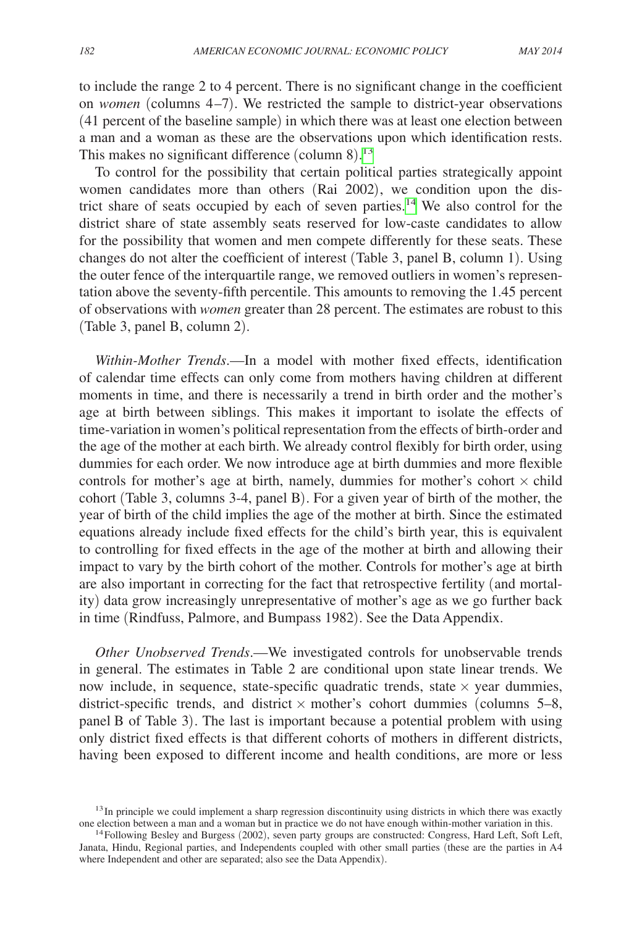to include the range 2 to 4 percent. There is no significant change in the coefficient on *women* (columns 4–7). We restricted the sample to district-year observations (41 percent of the baseline sample) in which there was at least one election between a man and a woman as these are the observations upon which identification rests. This makes no significant difference (column  $8$ ).<sup>[13](#page-18-0)</sup>

To control for the possibility that certain political parties strategically appoint women candidates more than others (Rai 2002), we condition upon the dis-trict share of seats occupied by each of seven parties.<sup>[14](#page-18-1)</sup> We also control for the district share of state assembly seats reserved for low-caste candidates to allow for the possibility that women and men compete differently for these seats. These changes do not alter the coefficient of interest (Table 3, panel B, column 1). Using the outer fence of the interquartile range, we removed outliers in women's representation above the seventy-fifth percentile. This amounts to removing the 1.45 percent of observations with *women* greater than 28 percent. The estimates are robust to this (Table 3, panel B, column 2).

*Within-Mother Trends*.—In a model with mother fixed effects, identification of calendar time effects can only come from mothers having children at different moments in time, and there is necessarily a trend in birth order and the mother's age at birth between siblings. This makes it important to isolate the effects of time-variation in women's political representation from the effects of birth-order and the age of the mother at each birth. We already control flexibly for birth order, using dummies for each order. We now introduce age at birth dummies and more flexible controls for mother's age at birth, namely, dummies for mother's cohort  $\times$  child cohort (Table 3, columns 3-4, panel B). For a given year of birth of the mother, the year of birth of the child implies the age of the mother at birth. Since the estimated equations already include fixed effects for the child's birth year, this is equivalent to controlling for fixed effects in the age of the mother at birth and allowing their impact to vary by the birth cohort of the mother. Controls for mother's age at birth are also important in correcting for the fact that retrospective fertility (and mortality) data grow increasingly unrepresentative of mother's age as we go further back in time (Rindfuss, Palmore, and Bumpass 1982). See the Data Appendix.

*Other Unobserved Trends*.—We investigated controls for unobservable trends in general. The estimates in Table 2 are conditional upon state linear trends. We now include, in sequence, state-specific quadratic trends, state  $\times$  year dummies, district-specific trends, and district  $\times$  mother's cohort dummies (columns 5–8, panel B of Table 3). The last is important because a potential problem with using only district fixed effects is that different cohorts of mothers in different districts, having been exposed to different income and health conditions, are more or less

<span id="page-18-0"></span><sup>&</sup>lt;sup>13</sup>In principle we could implement a sharp regression discontinuity using districts in which there was exactly one election between a man and a woman but in practice we do not have enough within-mother variation in this.

<span id="page-18-1"></span> $14$  Following Besley and Burgess (2002), seven party groups are constructed: Congress, Hard Left, Soft Left, Janata, Hindu, Regional parties, and Independents coupled with other small parties (these are the parties in A4 where Independent and other are separated; also see the Data Appendix).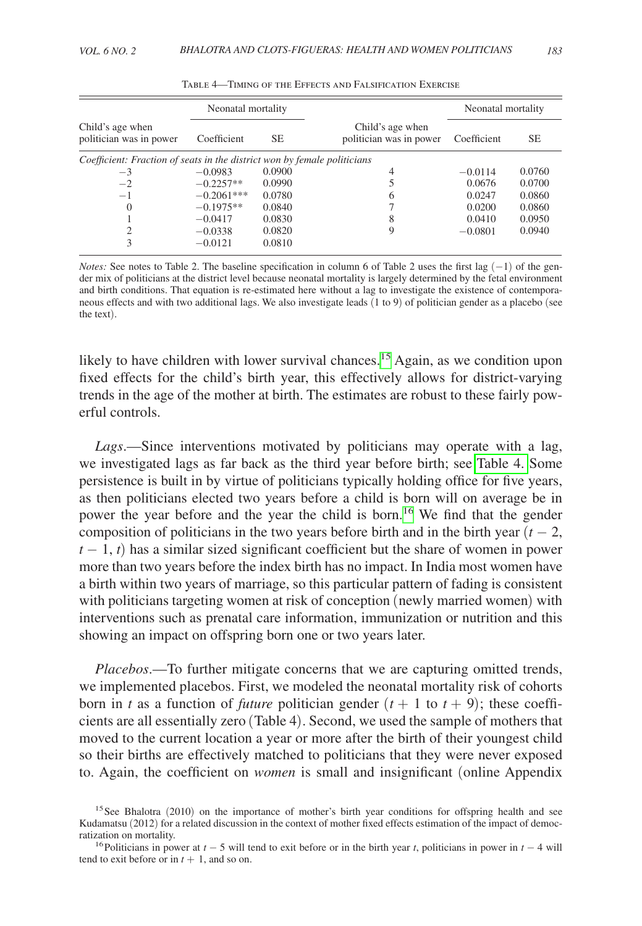| Neonatal mortality                                                       |                    |        |                                             | Neonatal mortality |        |  |
|--------------------------------------------------------------------------|--------------------|--------|---------------------------------------------|--------------------|--------|--|
| Child's age when<br>politician was in power                              | Coefficient<br>SE. |        | Child's age when<br>politician was in power | Coefficient        | SЕ     |  |
| Coefficient: Fraction of seats in the district won by female politicians |                    |        |                                             |                    |        |  |
| $-3$                                                                     | $-0.0983$          | 0.0900 | 4                                           | $-0.0114$          | 0.0760 |  |
| $-2$                                                                     | $-0.2257**$        | 0.0990 |                                             | 0.0676             | 0.0700 |  |
| $-1$                                                                     | $-0.2061***$       | 0.0780 | h                                           | 0.0247             | 0.0860 |  |
| $\Omega$                                                                 | $-0.1975**$        | 0.0840 |                                             | 0.0200             | 0.0860 |  |
|                                                                          | $-0.0417$          | 0.0830 | 8                                           | 0.0410             | 0.0950 |  |
|                                                                          | $-0.0338$          | 0.0820 | 9                                           | $-0.0801$          | 0.0940 |  |
|                                                                          | $-0.0121$          | 0.0810 |                                             |                    |        |  |

Table 4—Timing of the Effects and Falsification Exercise

*Notes:* See notes to Table 2. The baseline specification in column 6 of Table 2 uses the first lag (−1) of the gender mix of politicians at the district level because neonatal mortality is largely determined by the fetal environment and birth conditions. That equation is re-estimated here without a lag to investigate the existence of contemporaneous effects and with two additional lags. We also investigate leads (1 to 9) of politician gender as a placebo (see the text).

likely to have children with lower survival chances.<sup>15</sup> Again, as we condition upon fixed effects for the child's birth year, this effectively allows for district-varying trends in the age of the mother at birth. The estimates are robust to these fairly powerful controls.

*Lags*.—Since interventions motivated by politicians may operate with a lag, we investigated lags as far back as the third year before birth; see Table 4. Some persistence is built in by virtue of politicians typically holding office for five years, as then politicians elected two years before a child is born will on average be in power the year before and the year the child is born[.16](#page-19-1) We find that the gender composition of politicians in the two years before birth and in the birth year  $(t - 2)$ , *t* − 1, *t*) has a similar sized significant coefficient but the share of women in power more than two years before the index birth has no impact. In India most women have a birth within two years of marriage, so this particular pattern of fading is consistent with politicians targeting women at risk of conception (newly married women) with interventions such as prenatal care information, immunization or nutrition and this showing an impact on offspring born one or two years later.

*Placebos*.—To further mitigate concerns that we are capturing omitted trends, we implemented placebos. First, we modeled the neonatal mortality risk of cohorts born in *t* as a function of *future* politician gender  $(t + 1$  to  $t + 9)$ ; these coefficients are all essentially zero (Table 4). Second, we used the sample of mothers that moved to the current location a year or more after the birth of their youngest child so their births are effectively matched to politicians that they were never exposed to. Again, the coefficient on *women* is small and insignificant (online Appendix

<span id="page-19-0"></span><sup>&</sup>lt;sup>15</sup>See Bhalotra (2010) on the importance of mother's birth year conditions for offspring health and see Kudamatsu (2012) for a related discussion in the context of mother fixed effects estimation of the impact of democratization on mortality.

<span id="page-19-1"></span><sup>&</sup>lt;sup>16</sup>Politicians in power at *t* − 5 will tend to exit before or in the birth year *t*, politicians in power in *t* − 4 will tend to exit before or in  $t + 1$ , and so on.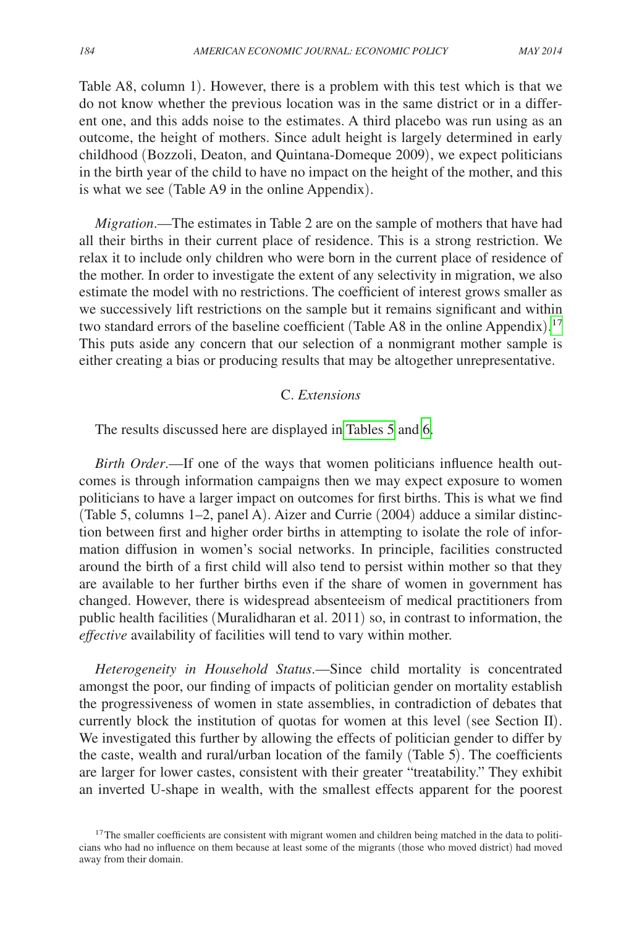Table A8, column 1). However, there is a problem with this test which is that we do not know whether the previous location was in the same district or in a different one, and this adds noise to the estimates. A third placebo was run using as an outcome, the height of mothers. Since adult height is largely determined in early childhood (Bozzoli, Deaton, and Quintana-Domeque 2009), we expect politicians in the birth year of the child to have no impact on the height of the mother, and this is what we see (Table A9 in the online Appendix).

*Migration*.—The estimates in Table 2 are on the sample of mothers that have had all their births in their current place of residence. This is a strong restriction. We relax it to include only children who were born in the current place of residence of the mother. In order to investigate the extent of any selectivity in migration, we also estimate the model with no restrictions. The coefficient of interest grows smaller as we successively lift restrictions on the sample but it remains significant and within two standard errors of the baseline coefficient (Table A8 in the online Appendix).<sup>[17](#page-20-0)</sup> This puts aside any concern that our selection of a nonmigrant mother sample is either creating a bias or producing results that may be altogether unrepresentative.

# C. *Extensions*

The results discussed here are displayed in [Tables 5](#page-21-0) and [6.](#page-22-0)

*Birth Order*.—If one of the ways that women politicians influence health outcomes is through information campaigns then we may expect exposure to women politicians to have a larger impact on outcomes for first births. This is what we find (Table 5, columns 1–2, panel A). Aizer and Currie (2004) adduce a similar distinction between first and higher order births in attempting to isolate the role of information diffusion in women's social networks. In principle, facilities constructed around the birth of a first child will also tend to persist within mother so that they are available to her further births even if the share of women in government has changed. However, there is widespread absenteeism of medical practitioners from public health facilities (Muralidharan et al. 2011) so, in contrast to information, the *effective* availability of facilities will tend to vary within mother.

*Heterogeneity in Household Status*.—Since child mortality is concentrated amongst the poor, our finding of impacts of politician gender on mortality establish the progressiveness of women in state assemblies, in contradiction of debates that currently block the institution of quotas for women at this level (see Section II). We investigated this further by allowing the effects of politician gender to differ by the caste, wealth and rural/urban location of the family (Table 5). The coefficients are larger for lower castes, consistent with their greater "treatability." They exhibit an inverted U-shape in wealth, with the smallest effects apparent for the poorest

<span id="page-20-0"></span><sup>&</sup>lt;sup>17</sup>The smaller coefficients are consistent with migrant women and children being matched in the data to politicians who had no influence on them because at least some of the migrants (those who moved district) had moved away from their domain.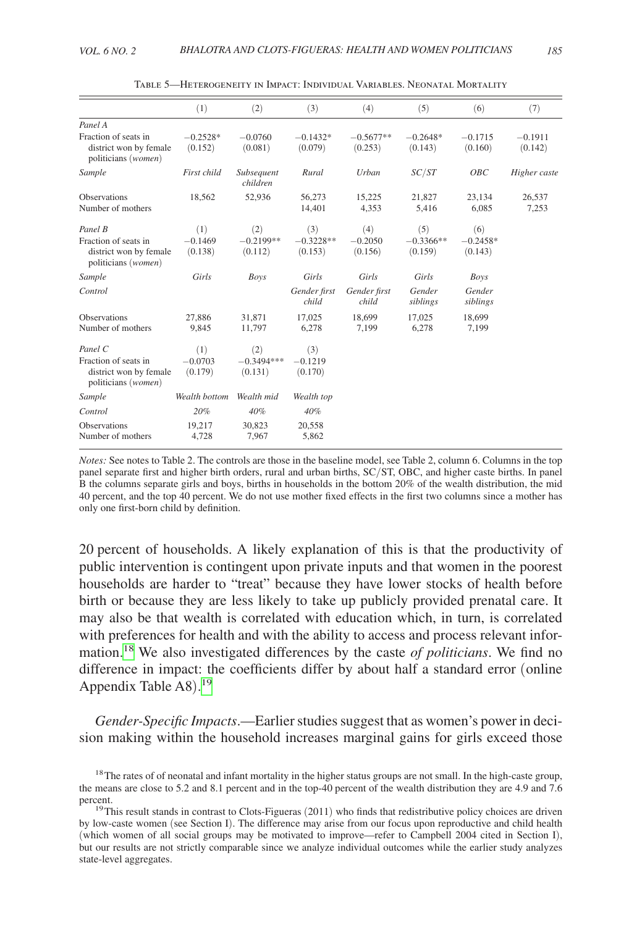<span id="page-21-0"></span>

|                                                                                  | (1)                         | (2)                            | (3)                         | (4)                    | (5)                    | (6)                   | (7)                  |
|----------------------------------------------------------------------------------|-----------------------------|--------------------------------|-----------------------------|------------------------|------------------------|-----------------------|----------------------|
| Panel A                                                                          |                             |                                |                             |                        |                        |                       |                      |
| Fraction of seats in<br>district won by female<br>politicians (women)            | $-0.2528*$<br>(0.152)       | $-0.0760$<br>(0.081)           | $-0.1432*$<br>(0.079)       | $-0.5677**$<br>(0.253) | $-0.2648*$<br>(0.143)  | $-0.1715$<br>(0.160)  | $-0.1911$<br>(0.142) |
| Sample                                                                           | First child                 | Subsequent<br>children         | Rural                       | Urban                  | SC/ST                  | OBC                   | Higher caste         |
| <b>Observations</b><br>Number of mothers                                         | 18,562                      | 52,936                         | 56,273<br>14,401            | 15,225<br>4,353        | 21,827<br>5,416        | 23,134<br>6,085       | 26,537<br>7,253      |
| Panel B                                                                          | (1)                         | (2)                            | (3)                         | (4)                    | (5)                    | (6)                   |                      |
| Fraction of seats in<br>district won by female<br>politicians (women)            | $-0.1469$<br>(0.138)        | $-0.2199**$<br>(0.112)         | $-0.3228**$<br>(0.153)      | $-0.2050$<br>(0.156)   | $-0.3366**$<br>(0.159) | $-0.2458*$<br>(0.143) |                      |
| Sample                                                                           | Girls                       | Boys                           | Girls                       | Girls                  | Girls                  | Boys                  |                      |
| Control                                                                          |                             |                                | Gender first<br>child       | Gender first<br>child  | Gender<br>siblings     | Gender<br>siblings    |                      |
| Observations<br>Number of mothers                                                | 27,886<br>9,845             | 31.871<br>11,797               | 17.025<br>6,278             | 18.699<br>7.199        | 17,025<br>6,278        | 18,699<br>7,199       |                      |
| Panel C<br>Fraction of seats in<br>district won by female<br>politicians (women) | (1)<br>$-0.0703$<br>(0.179) | (2)<br>$-0.3494***$<br>(0.131) | (3)<br>$-0.1219$<br>(0.170) |                        |                        |                       |                      |
| Sample                                                                           | Wealth bottom               | Wealth mid                     | Wealth top                  |                        |                        |                       |                      |
| Control                                                                          | 20%                         | 40%                            | 40%                         |                        |                        |                       |                      |
| <b>Observations</b><br>Number of mothers                                         | 19,217<br>4,728             | 30.823<br>7,967                | 20.558<br>5,862             |                        |                        |                       |                      |

Table 5—Heterogeneity in Impact: Individual Variables. Neonatal Mortality

*Notes:* See notes to Table 2. The controls are those in the baseline model, see Table 2, column 6. Columns in the top panel separate first and higher birth orders, rural and urban births, SC/ST, OBC, and higher caste births. In panel B the columns separate girls and boys, births in households in the bottom 20% of the wealth distribution, the mid 40 percent, and the top 40 percent. We do not use mother fixed effects in the first two columns since a mother has only one first-born child by definition.

20 percent of households. A likely explanation of this is that the productivity of public intervention is contingent upon private inputs and that women in the poorest households are harder to "treat" because they have lower stocks of health before birth or because they are less likely to take up publicly provided prenatal care. It may also be that wealth is correlated with education which, in turn, is correlated with preferences for health and with the ability to access and process relevant information[.18](#page-21-1) We also investigated differences by the caste *of politicians*. We find no difference in impact: the coefficients differ by about half a standard error (online Appendix Table A8). [19](#page-21-2)

*Gender-Specific Impacts*.—Earlier studies suggest that as women's power in decision making within the household increases marginal gains for girls exceed those

<span id="page-21-1"></span><sup>&</sup>lt;sup>18</sup>The rates of of neonatal and infant mortality in the higher status groups are not small. In the high-caste group, the means are close to 5.2 and 8.1 percent and in the top-40 percent of the wealth distribution they are 4.9 and 7.6 percent.<br><sup>19</sup>This result stands in contrast to Clots-Figueras (2011) who finds that redistributive policy choices are driven

<span id="page-21-2"></span>by low-caste women (see Section I). The difference may arise from our focus upon reproductive and child health (which women of all social groups may be motivated to improve—refer to Campbell 2004 cited in Section I), but our results are not strictly comparable since we analyze individual outcomes while the earlier study analyzes state-level aggregates.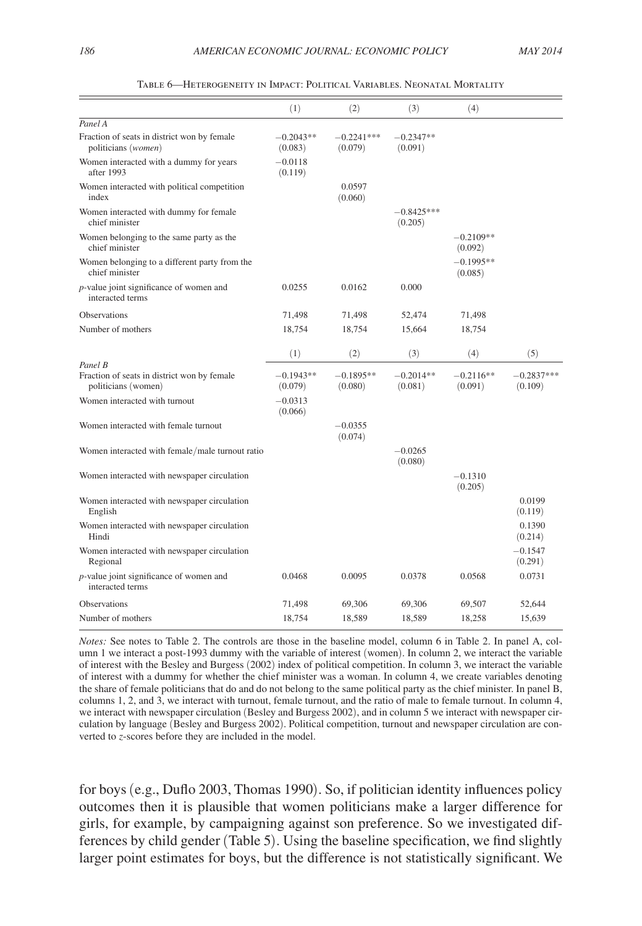<span id="page-22-0"></span>

|                                                                             | (1)                    | (2)                     | (3)                     | (4)                    |                         |
|-----------------------------------------------------------------------------|------------------------|-------------------------|-------------------------|------------------------|-------------------------|
| Panel A                                                                     |                        |                         |                         |                        |                         |
| Fraction of seats in district won by female<br>politicians ( <i>women</i> ) | $-0.2043**$<br>(0.083) | $-0.2241***$<br>(0.079) | $-0.2347**$<br>(0.091)  |                        |                         |
| Women interacted with a dummy for years<br>after 1993                       | $-0.0118$<br>(0.119)   |                         |                         |                        |                         |
| Women interacted with political competition<br>index                        |                        | 0.0597<br>(0.060)       |                         |                        |                         |
| Women interacted with dummy for female<br>chief minister                    |                        |                         | $-0.8425***$<br>(0.205) |                        |                         |
| Women belonging to the same party as the<br>chief minister                  |                        |                         |                         | $-0.2109**$<br>(0.092) |                         |
| Women belonging to a different party from the<br>chief minister             |                        |                         |                         | $-0.1995**$<br>(0.085) |                         |
| <i>p</i> -value joint significance of women and<br>interacted terms         | 0.0255                 | 0.0162                  | 0.000                   |                        |                         |
| <b>Observations</b>                                                         | 71,498                 | 71,498                  | 52,474                  | 71,498                 |                         |
| Number of mothers                                                           | 18,754                 | 18,754                  | 15,664                  | 18,754                 |                         |
|                                                                             | (1)                    | (2)                     | (3)                     | (4)                    | (5)                     |
| Panel B                                                                     |                        |                         |                         |                        |                         |
| Fraction of seats in district won by female<br>politicians (women)          | $-0.1943**$<br>(0.079) | $-0.1895**$<br>(0.080)  | $-0.2014**$<br>(0.081)  | $-0.2116**$<br>(0.091) | $-0.2837***$<br>(0.109) |
| Women interacted with turnout                                               | $-0.0313$<br>(0.066)   |                         |                         |                        |                         |
| Women interacted with female turnout                                        |                        | $-0.0355$<br>(0.074)    |                         |                        |                         |
| Women interacted with female/male turnout ratio                             |                        |                         | $-0.0265$<br>(0.080)    |                        |                         |
| Women interacted with newspaper circulation                                 |                        |                         |                         | $-0.1310$<br>(0.205)   |                         |
| Women interacted with newspaper circulation<br>English                      |                        |                         |                         |                        | 0.0199<br>(0.119)       |
| Women interacted with newspaper circulation<br>Hindi                        |                        |                         |                         |                        | 0.1390<br>(0.214)       |
| Women interacted with newspaper circulation<br>Regional                     |                        |                         |                         |                        | $-0.1547$<br>(0.291)    |
| <i>p</i> -value joint significance of women and<br>interacted terms         | 0.0468                 | 0.0095                  | 0.0378                  | 0.0568                 | 0.0731                  |
| Observations                                                                | 71,498                 | 69,306                  | 69,306                  | 69,507                 | 52,644                  |
| Number of mothers                                                           | 18,754                 | 18,589                  | 18,589                  | 18,258                 | 15,639                  |

Table 6—Heterogeneity in Impact: Political Variables. Neonatal Mortality

*Notes:* See notes to Table 2. The controls are those in the baseline model, column 6 in Table 2. In panel A, column 1 we interact a post-1993 dummy with the variable of interest (women). In column 2, we interact the variable of interest with the Besley and Burgess (2002) index of political competition. In column 3, we interact the variable of interest with a dummy for whether the chief minister was a woman. In column 4, we create variables denoting the share of female politicians that do and do not belong to the same political party as the chief minister. In panel B, columns 1, 2, and 3, we interact with turnout, female turnout, and the ratio of male to female turnout. In column 4, we interact with newspaper circulation (Besley and Burgess 2002), and in column 5 we interact with newspaper circulation by language (Besley and Burgess 2002). Political competition, turnout and newspaper circulation are converted to *z*-scores before they are included in the model.

for boys (e.g., Duflo 2003, Thomas 1990). So, if politician identity influences policy outcomes then it is plausible that women politicians make a larger difference for girls, for example, by campaigning against son preference. So we investigated differences by child gender (Table 5). Using the baseline specification, we find slightly larger point estimates for boys, but the difference is not statistically significant. We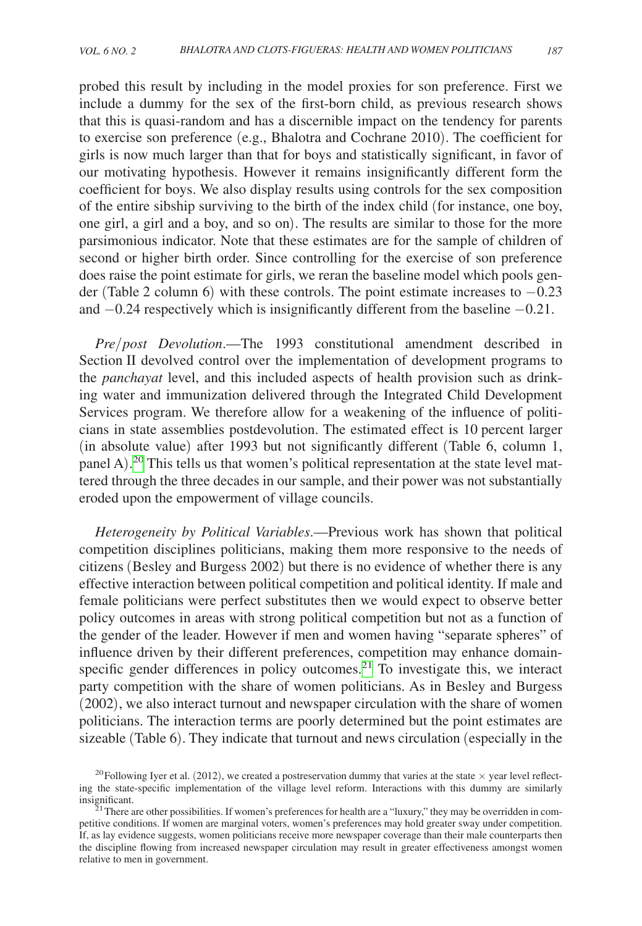probed this result by including in the model proxies for son preference. First we include a dummy for the sex of the first-born child, as previous research shows that this is quasi-random and has a discernible impact on the tendency for parents to exercise son preference (e.g., Bhalotra and Cochrane 2010). The coefficient for girls is now much larger than that for boys and statistically significant, in favor of our motivating hypothesis. However it remains insignificantly different form the coefficient for boys. We also display results using controls for the sex composition of the entire sibship surviving to the birth of the index child (for instance, one boy, one girl, a girl and a boy, and so on). The results are similar to those for the more parsimonious indicator. Note that these estimates are for the sample of children of second or higher birth order. Since controlling for the exercise of son preference does raise the point estimate for girls, we reran the baseline model which pools gender (Table 2 column 6) with these controls. The point estimate increases to −0.23 and −0.24 respectively which is insignificantly different from the baseline −0.21.

*Pre*/*post Devolution*.—The 1993 constitutional amendment described in Section II devolved control over the implementation of development programs to the *panchayat* level, and this included aspects of health provision such as drinking water and immunization delivered through the Integrated Child Development Services program. We therefore allow for a weakening of the influence of politicians in state assemblies postdevolution. The estimated effect is 10 percent larger (in absolute value) after 1993 but not significantly different (Table 6, column 1, panel A).<sup>20</sup> This tells us that women's political representation at the state level mattered through the three decades in our sample, and their power was not substantially eroded upon the empowerment of village councils.

*Heterogeneity by Political Variables*.—Previous work has shown that political competition disciplines politicians, making them more responsive to the needs of citizens (Besley and Burgess 2002) but there is no evidence of whether there is any effective interaction between political competition and political identity. If male and female politicians were perfect substitutes then we would expect to observe better policy outcomes in areas with strong political competition but not as a function of the gender of the leader. However if men and women having "separate spheres" of influence driven by their different preferences, competition may enhance domainspecific gender differences in policy outcomes. $2<sup>1</sup>$  To investigate this, we interact party competition with the share of women politicians. As in Besley and Burgess (2002), we also interact turnout and newspaper circulation with the share of women politicians. The interaction terms are poorly determined but the point estimates are sizeable (Table 6). They indicate that turnout and news circulation (especially in the

<span id="page-23-0"></span><sup>&</sup>lt;sup>20</sup>Following Iyer et al. (2012), we created a postreservation dummy that varies at the state  $\times$  year level reflecting the state-specific implementation of the village level reform. Interactions with this dummy are similarly insignificant.<br><sup>21</sup>There are other possibilities. If women's preferences for health are a "luxury," they may be overridden in com-

<span id="page-23-1"></span>petitive conditions. If women are marginal voters, women's preferences may hold greater sway under competition. If, as lay evidence suggests, women politicians receive more newspaper coverage than their male counterparts then the discipline flowing from increased newspaper circulation may result in greater effectiveness amongst women relative to men in government.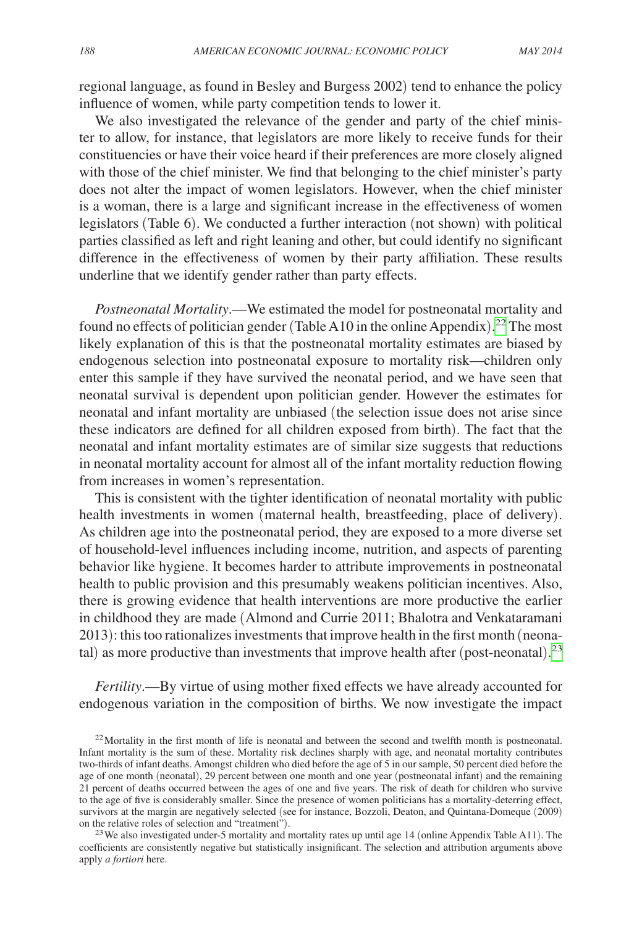regional language, as found in Besley and Burgess 2002) tend to enhance the policy influence of women, while party competition tends to lower it.

We also investigated the relevance of the gender and party of the chief minister to allow, for instance, that legislators are more likely to receive funds for their constituencies or have their voice heard if their preferences are more closely aligned with those of the chief minister. We find that belonging to the chief minister's party does not alter the impact of women legislators. However, when the chief minister is a woman, there is a large and significant increase in the effectiveness of women legislators (Table 6). We conducted a further interaction (not shown) with political parties classified as left and right leaning and other, but could identify no significant difference in the effectiveness of women by their party affiliation. These results underline that we identify gender rather than party effects.

*Postneonatal Mortality*.—We estimated the model for postneonatal mortality and found no effects of politician gender (Table A10 in the online Appendix). [22](#page-24-0) The most likely explanation of this is that the postneonatal mortality estimates are biased by endogenous selection into postneonatal exposure to mortality risk—children only enter this sample if they have survived the neonatal period, and we have seen that neonatal survival is dependent upon politician gender. However the estimates for neonatal and infant mortality are unbiased (the selection issue does not arise since these indicators are defined for all children exposed from birth). The fact that the neonatal and infant mortality estimates are of similar size suggests that reductions in neonatal mortality account for almost all of the infant mortality reduction flowing from increases in women's representation.

This is consistent with the tighter identification of neonatal mortality with public health investments in women (maternal health, breastfeeding, place of delivery). As children age into the postneonatal period, they are exposed to a more diverse set of household-level influences including income, nutrition, and aspects of parenting behavior like hygiene. It becomes harder to attribute improvements in postneonatal health to public provision and this presumably weakens politician incentives. Also, there is growing evidence that health interventions are more productive the earlier in childhood they are made (Almond and Currie 2011; Bhalotra and Venkataramani 2013): this too rationalizes investments that improve health in the first month (neonatal) as more productive than investments that improve health after (post-neonatal). [23](#page-24-1)

*Fertility*.—By virtue of using mother fixed effects we have already accounted for endogenous variation in the composition of births. We now investigate the impact

<span id="page-24-0"></span> $22$ Mortality in the first month of life is neonatal and between the second and twelfth month is postneonatal. Infant mortality is the sum of these. Mortality risk declines sharply with age, and neonatal mortality contributes two-thirds of infant deaths. Amongst children who died before the age of 5 in our sample, 50 percent died before the age of one month (neonatal), 29 percent between one month and one year (postneonatal infant) and the remaining 21 percent of deaths occurred between the ages of one and five years. The risk of death for children who survive to the age of five is considerably smaller. Since the presence of women politicians has a mortality-deterring effect, survivors at the margin are negatively selected (see for instance, Bozzoli, Deaton, and Quintana-Domeque (2009) on the relative roles of selection and "treatment").

<span id="page-24-1"></span><sup>&</sup>lt;sup>23</sup> We also investigated under-5 mortality and mortality rates up until age 14 (online Appendix Table A11). The coefficients are consistently negative but statistically insignificant. The selection and attribution arguments above apply *a fortiori* here.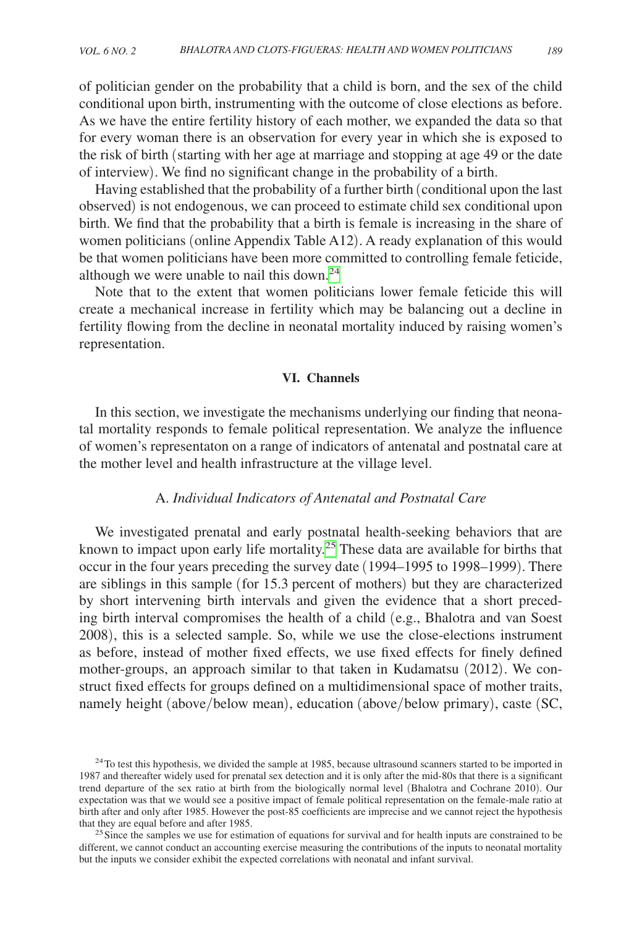of politician gender on the probability that a child is born, and the sex of the child conditional upon birth, instrumenting with the outcome of close elections as before. As we have the entire fertility history of each mother, we expanded the data so that for every woman there is an observation for every year in which she is exposed to the risk of birth (starting with her age at marriage and stopping at age 49 or the date of interview). We find no significant change in the probability of a birth.

Having established that the probability of a further birth (conditional upon the last observed) is not endogenous, we can proceed to estimate child sex conditional upon birth. We find that the probability that a birth is female is increasing in the share of women politicians (online Appendix Table A12). A ready explanation of this would be that women politicians have been more committed to controlling female feticide, although we were unable to nail this down. $^{24}$ 

Note that to the extent that women politicians lower female feticide this will create a mechanical increase in fertility which may be balancing out a decline in fertility flowing from the decline in neonatal mortality induced by raising women's representation.

# **VI. Channels**

In this section, we investigate the mechanisms underlying our finding that neonatal mortality responds to female political representation. We analyze the influence of women's representaton on a range of indicators of antenatal and postnatal care at the mother level and health infrastructure at the village level.

# A. *Individual Indicators of Antenatal and Postnatal Care*

We investigated prenatal and early postnatal health-seeking behaviors that are known to impact upon early life mortality.[25](#page-25-1) These data are available for births that occur in the four years preceding the survey date (1994–1995 to 1998–1999). There are siblings in this sample (for 15.3 percent of mothers) but they are characterized by short intervening birth intervals and given the evidence that a short preceding birth interval compromises the health of a child (e.g., Bhalotra and van Soest 2008), this is a selected sample. So, while we use the close-elections instrument as before, instead of mother fixed effects, we use fixed effects for finely defined mother-groups, an approach similar to that taken in Kudamatsu (2012). We construct fixed effects for groups defined on a multidimensional space of mother traits, namely height (above/below mean), education (above/below primary), caste (SC,

<span id="page-25-0"></span> $^{24}$ To test this hypothesis, we divided the sample at 1985, because ultrasound scanners started to be imported in 1987 and thereafter widely used for prenatal sex detection and it is only after the mid-80s that there is a significant trend departure of the sex ratio at birth from the biologically normal level (Bhalotra and Cochrane 2010). Our expectation was that we would see a positive impact of female political representation on the female-male ratio at birth after and only after 1985. However the post-85 coefficients are imprecise and we cannot reject the hypothesis that they are equal before and after 1985.<br><sup>25</sup>Since the samples we use for estimation of equations for survival and for health inputs are constrained to be

<span id="page-25-1"></span>different, we cannot conduct an accounting exercise measuring the contributions of the inputs to neonatal mortality but the inputs we consider exhibit the expected correlations with neonatal and infant survival.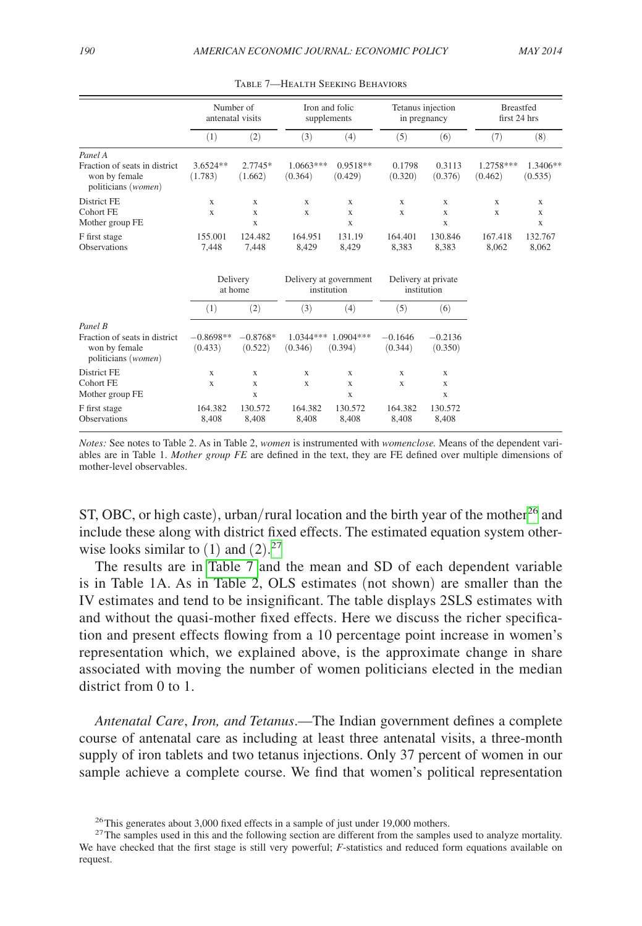|                                                                                  | Number of<br>antenatal visits |                                 | Iron and folic<br>supplements         |                        | Tetanus injection<br>in pregnancy  |                                           | <b>Breastfed</b><br>first 24 hrs |                                 |
|----------------------------------------------------------------------------------|-------------------------------|---------------------------------|---------------------------------------|------------------------|------------------------------------|-------------------------------------------|----------------------------------|---------------------------------|
|                                                                                  | (1)                           | (2)                             | (3)                                   | (4)                    | (5)                                | (6)                                       | (7)                              | (8)                             |
| Panel A<br>Fraction of seats in district<br>won by female<br>politicians (women) | 3.6524**<br>(1.783)           | 2.7745*<br>(1.662)              | $1.0663***$<br>(0.364)                | $0.9518**$<br>(0.429)  | 0.1798<br>(0.320)                  | 0.3113<br>(0.376)                         | 1.2758***<br>(0.462)             | 1.3406**<br>(0.535)             |
| District FE<br><b>Cohort FE</b><br>Mother group FE                               | X<br>X                        | X<br>X<br>X                     | X<br>X                                | X<br>X<br>X            | X<br>$\mathbf x$                   | $\mathbf x$<br>$\mathbf x$<br>$\mathbf x$ | X<br>$\mathbf x$                 | X<br>$\mathbf x$<br>$\mathbf x$ |
| F first stage<br><b>Observations</b>                                             | 155.001<br>7,448              | 124.482<br>7.448                | 164.951<br>8,429                      | 131.19<br>8,429        | 164.401<br>8,383                   | 130.846<br>8,383                          | 167.418<br>8,062                 | 132.767<br>8,062                |
|                                                                                  | Delivery<br>at home           |                                 | Delivery at government<br>institution |                        | Delivery at private<br>institution |                                           |                                  |                                 |
|                                                                                  | (1)                           | (2)                             | (3)                                   | (4)                    | (5)                                | (6)                                       |                                  |                                 |
| Panel B<br>Fraction of seats in district<br>won by female<br>politicians (women) | $-0.8698**$<br>(0.433)        | $-0.8768*$<br>(0.522)           | 1.0344***<br>(0.346)                  | $1.0904***$<br>(0.394) | $-0.1646$<br>(0.344)               | $-0.2136$<br>(0.350)                      |                                  |                                 |
| District FE<br>Cohort FE<br>Mother group FE                                      | X<br>$\mathbf x$              | $\mathbf x$<br>$\mathbf x$<br>X | X<br>$\mathbf x$                      | X<br>X<br>$\mathbf x$  | X<br>X                             | X<br>$\mathbf x$<br>X                     |                                  |                                 |
| F first stage<br><b>Observations</b>                                             | 164.382<br>8,408              | 130.572<br>8,408                | 164.382<br>8,408                      | 130.572<br>8,408       | 164.382<br>8,408                   | 130.572<br>8,408                          |                                  |                                 |

| TABLE 7—HEALTH SEEKING BEHAVIORS |  |  |
|----------------------------------|--|--|
|----------------------------------|--|--|

ST, OBC, or high caste), urban/rural location and the birth year of the mother<sup>26</sup> and include these along with district fixed effects. The estimated equation system otherwise looks similar to  $(1)$  and  $(2).^{27}$  $(2).^{27}$  $(2).^{27}$ 

The results are in Table 7 and the mean and SD of each dependent variable is in Table 1A. As in Table 2, OLS estimates (not shown) are smaller than the IV estimates and tend to be insignificant. The table displays 2SLS estimates with and without the quasi-mother fixed effects. Here we discuss the richer specification and present effects flowing from a 10 percentage point increase in women's representation which, we explained above, is the approximate change in share associated with moving the number of women politicians elected in the median district from 0 to 1.

*Antenatal Care*, *Iron, and Tetanus*.—The Indian government defines a complete course of antenatal care as including at least three antenatal visits, a three-month supply of iron tablets and two tetanus injections. Only 37 percent of women in our sample achieve a complete course. We find that women's political representation

*Notes:* See notes to Table 2. As in Table 2, *women* is instrumented with *womenclose.* Means of the dependent variables are in Table 1. *Mother group FE* are defined in the text, they are FE defined over multiple dimensions of mother-level observables.

<span id="page-26-1"></span><span id="page-26-0"></span>

<sup>&</sup>lt;sup>26</sup>This generates about 3,000 fixed effects in a sample of just under 19,000 mothers.<br><sup>27</sup>The samples used in this and the following section are different from the samples used to analyze mortality. We have checked that the first stage is still very powerful; *F*-statistics and reduced form equations available on request.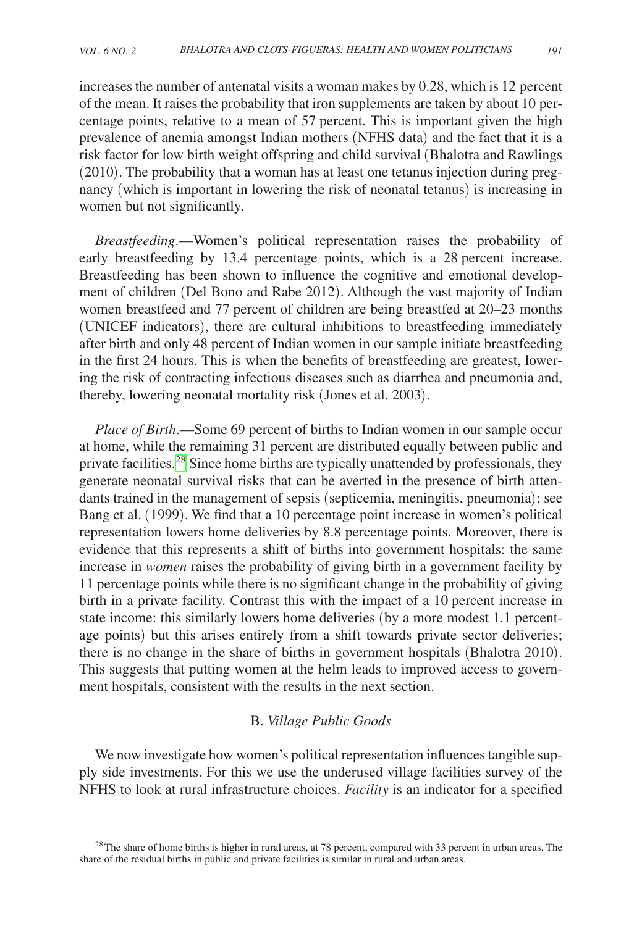increases the number of antenatal visits a woman makes by 0.28, which is 12 percent of the mean. It raises the probability that iron supplements are taken by about 10 percentage points, relative to a mean of 57 percent. This is important given the high prevalence of anemia amongst Indian mothers (NFHS data) and the fact that it is a risk factor for low birth weight offspring and child survival (Bhalotra and Rawlings (2010). The probability that a woman has at least one tetanus injection during pregnancy (which is important in lowering the risk of neonatal tetanus) is increasing in women but not significantly.

*Breastfeeding*.—Women's political representation raises the probability of early breastfeeding by 13.4 percentage points, which is a 28 percent increase. Breastfeeding has been shown to influence the cognitive and emotional development of children (Del Bono and Rabe 2012). Although the vast majority of Indian women breastfeed and 77 percent of children are being breastfed at 20–23 months (UNICEF indicators), there are cultural inhibitions to breastfeeding immediately after birth and only 48 percent of Indian women in our sample initiate breastfeeding in the first 24 hours. This is when the benefits of breastfeeding are greatest, lowering the risk of contracting infectious diseases such as diarrhea and pneumonia and, thereby, lowering neonatal mortality risk (Jones et al. 2003).

*Place of Birth*.—Some 69 percent of births to Indian women in our sample occur at home, while the remaining 31 percent are distributed equally between public and private facilities.<sup>28</sup> Since home births are typically unattended by professionals, they generate neonatal survival risks that can be averted in the presence of birth attendants trained in the management of sepsis (septicemia, meningitis, pneumonia); see Bang et al. (1999). We find that a 10 percentage point increase in women's political representation lowers home deliveries by 8.8 percentage points. Moreover, there is evidence that this represents a shift of births into government hospitals: the same increase in *women* raises the probability of giving birth in a government facility by 11 percentage points while there is no significant change in the probability of giving birth in a private facility. Contrast this with the impact of a 10 percent increase in state income: this similarly lowers home deliveries (by a more modest 1.1 percentage points) but this arises entirely from a shift towards private sector deliveries; there is no change in the share of births in government hospitals (Bhalotra 2010). This suggests that putting women at the helm leads to improved access to government hospitals, consistent with the results in the next section.

# B. *Village Public Goods*

We now investigate how women's political representation influences tangible supply side investments. For this we use the underused village facilities survey of the NFHS to look at rural infrastructure choices. *Facility* is an indicator for a specified

<span id="page-27-0"></span><sup>&</sup>lt;sup>28</sup>The share of home births is higher in rural areas, at 78 percent, compared with 33 percent in urban areas. The share of the residual births in public and private facilities is similar in rural and urban areas.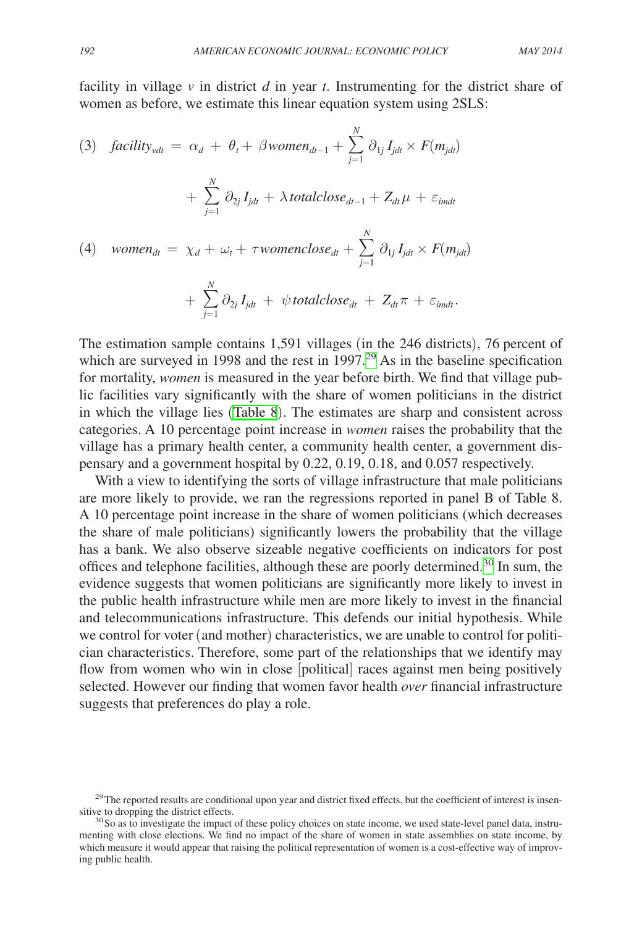facility in village *v* in district *d* in year *t*. Instrumenting for the district share of women as before, we estimate this linear equation system using 2SLS:

(3) *facility<sub>vdt</sub>* = 
$$
\alpha_d + \theta_t + \beta women_{dt-1} + \sum_{j=1}^{N} \partial_{1j} I_{jdt} \times F(m_{jdt})
$$
  
+  $\sum_{j=1}^{N} \partial_{2j} I_{jdt} + \lambda totalclose_{dt-1} + Z_{dt} \mu + \varepsilon_{imdt}$   
(4) *women<sub>dt</sub>* =  $\chi_d + \omega_t + \tau womenclose_{dt} + \sum_{j=1}^{N} \partial_{1j} I_{jdt} \times F(m_{jdt})$   
+  $\sum_{j=1}^{N} \partial_{2j} I_{jdt} + \psi totalclose_{dt} + Z_{dt} \pi + \varepsilon_{imdt}.$ 

The estimation sample contains 1,591 villages (in the 246 districts), 76 percent of which are surveyed in 1998 and the rest in  $1997<sup>29</sup>$  $1997<sup>29</sup>$  $1997<sup>29</sup>$  As in the baseline specification for mortality, *women* is measured in the year before birth. We find that village public facilities vary significantly with the share of women politicians in the district in which the village lies ([Table 8](#page-29-0)). The estimates are sharp and consistent across categories. A 10 percentage point increase in *women* raises the probability that the village has a primary health center, a community health center, a government dispensary and a government hospital by 0.22, 0.19, 0.18, and 0.057 respectively.

With a view to identifying the sorts of village infrastructure that male politicians are more likely to provide, we ran the regressions reported in panel B of Table 8. A 10 percentage point increase in the share of women politicians (which decreases the share of male politicians) significantly lowers the probability that the village has a bank. We also observe sizeable negative coefficients on indicators for post offices and telephone facilities, although these are poorly determined.<sup>[30](#page-28-1)</sup> In sum, the evidence suggests that women politicians are significantly more likely to invest in the public health infrastructure while men are more likely to invest in the financial and telecommunications infrastructure. This defends our initial hypothesis. While we control for voter (and mother) characteristics, we are unable to control for politician characteristics. Therefore, some part of the relationships that we identify may flow from women who win in close [political] races against men being positively selected. However our finding that women favor health *over* financial infrastructure suggests that preferences do play a role.

<span id="page-28-0"></span> $^{29}$ The reported results are conditional upon year and district fixed effects, but the coefficient of interest is insensitive to dropping the district effects.

<span id="page-28-1"></span> $30$  So as to investigate the impact of these policy choices on state income, we used state-level panel data, instrumenting with close elections. We find no impact of the share of women in state assemblies on state income, by which measure it would appear that raising the political representation of women is a cost-effective way of improving public health.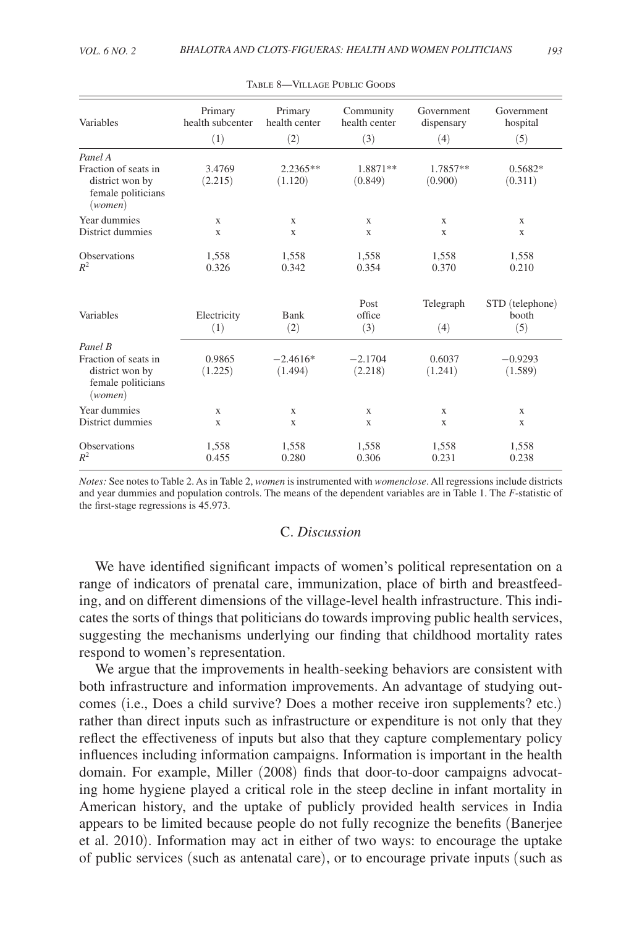<span id="page-29-0"></span>

| Variables                                                                | Primary<br>health subcenter | Primary<br>health center | Community<br>health center | Government<br>dispensary | Government<br>hospital          |
|--------------------------------------------------------------------------|-----------------------------|--------------------------|----------------------------|--------------------------|---------------------------------|
|                                                                          | (1)                         | (2)                      | (3)                        | (4)                      | (5)                             |
| Panel A                                                                  |                             |                          |                            |                          |                                 |
| Fraction of seats in<br>district won by<br>female politicians<br>(women) | 3.4769<br>(2.215)           | $2.2365**$<br>(1.120)    | 1.8871**<br>(0.849)        | 1.7857**<br>(0.900)      | $0.5682*$<br>(0.311)            |
| Year dummies                                                             | X                           | X                        | X                          | X                        | X                               |
| District dummies                                                         | $\mathbf x$                 | $\mathbf{x}$             | $\mathbf x$                | $\mathbf x$              | $\mathbf x$                     |
| Observations<br>$R^2$                                                    | 1,558<br>0.326              | 1,558<br>0.342           | 1,558<br>0.354             | 1,558<br>0.370           | 1,558<br>0.210                  |
| Variables                                                                | Electricity<br>(1)          | Bank<br>(2)              | Post<br>office<br>(3)      | Telegraph<br>(4)         | STD (telephone)<br>booth<br>(5) |
| Panel B                                                                  |                             |                          |                            |                          |                                 |
| Fraction of seats in<br>district won by<br>female politicians<br>(women) | 0.9865<br>(1.225)           | $-2.4616*$<br>(1.494)    | $-2.1704$<br>(2.218)       | 0.6037<br>(1.241)        | $-0.9293$<br>(1.589)            |
| Year dummies                                                             | $\mathbf x$                 | X                        | X                          | X                        | X                               |
| District dummies                                                         | $\mathbf x$                 | $\mathbf x$              | $\mathbf x$                | $\mathbf x$              | X                               |
| Observations<br>$R^2$                                                    | 1,558<br>0.455              | 1,558<br>0.280           | 1,558<br>0.306             | 1,558<br>0.231           | 1,558<br>0.238                  |

| TABLE 8—VILLAGE PUBLIC GOODS |  |
|------------------------------|--|
|------------------------------|--|

*Notes:* See notes to Table 2. As in Table 2, *women* is instrumented with *womenclose*. All regressions include districts and year dummies and population controls. The means of the dependent variables are in Table 1. The *F*-statistic of the first-stage regressions is 45.973.

# C. *Discussion*

We have identified significant impacts of women's political representation on a range of indicators of prenatal care, immunization, place of birth and breastfeeding, and on different dimensions of the village-level health infrastructure. This indicates the sorts of things that politicians do towards improving public health services, suggesting the mechanisms underlying our finding that childhood mortality rates respond to women's representation.

We argue that the improvements in health-seeking behaviors are consistent with both infrastructure and information improvements. An advantage of studying outcomes (i.e., Does a child survive? Does a mother receive iron supplements? etc.) rather than direct inputs such as infrastructure or expenditure is not only that they reflect the effectiveness of inputs but also that they capture complementary policy influences including information campaigns. Information is important in the health domain. For example, Miller (2008) finds that door-to-door campaigns advocating home hygiene played a critical role in the steep decline in infant mortality in American history, and the uptake of publicly provided health services in India appears to be limited because people do not fully recognize the benefits (Banerjee et al. 2010). Information may act in either of two ways: to encourage the uptake of public services (such as antenatal care), or to encourage private inputs (such as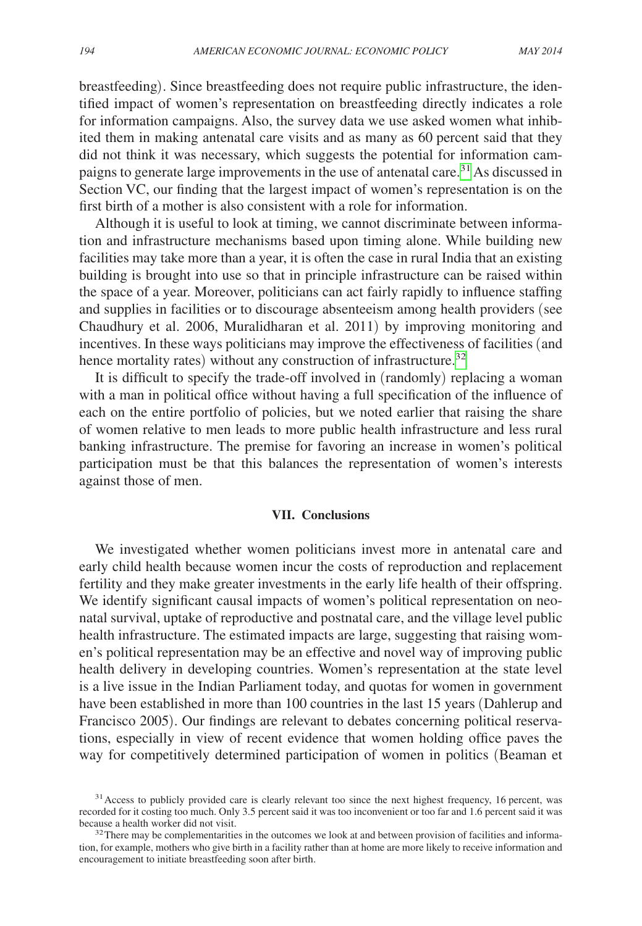breastfeeding). Since breastfeeding does not require public infrastructure, the identified impact of women's representation on breastfeeding directly indicates a role for information campaigns. Also, the survey data we use asked women what inhibited them in making antenatal care visits and as many as 60 percent said that they did not think it was necessary, which suggests the potential for information campaigns to generate large improvements in the use of antenatal care.<sup>31</sup> As discussed in Section VC, our finding that the largest impact of women's representation is on the first birth of a mother is also consistent with a role for information.

Although it is useful to look at timing, we cannot discriminate between information and infrastructure mechanisms based upon timing alone. While building new facilities may take more than a year, it is often the case in rural India that an existing building is brought into use so that in principle infrastructure can be raised within the space of a year. Moreover, politicians can act fairly rapidly to influence staffing and supplies in facilities or to discourage absenteeism among health providers (see Chaudhury et al. 2006, Muralidharan et al. 2011) by improving monitoring and incentives. In these ways politicians may improve the effectiveness of facilities (and hence mortality rates) without any construction of infrastructure.<sup>[32](#page-30-1)</sup>

It is difficult to specify the trade-off involved in (randomly) replacing a woman with a man in political office without having a full specification of the influence of each on the entire portfolio of policies, but we noted earlier that raising the share of women relative to men leads to more public health infrastructure and less rural banking infrastructure. The premise for favoring an increase in women's political participation must be that this balances the representation of women's interests against those of men.

#### **VII. Conclusions**

We investigated whether women politicians invest more in antenatal care and early child health because women incur the costs of reproduction and replacement fertility and they make greater investments in the early life health of their offspring. We identify significant causal impacts of women's political representation on neonatal survival, uptake of reproductive and postnatal care, and the village level public health infrastructure. The estimated impacts are large, suggesting that raising women's political representation may be an effective and novel way of improving public health delivery in developing countries. Women's representation at the state level is a live issue in the Indian Parliament today, and quotas for women in government have been established in more than 100 countries in the last 15 years (Dahlerup and Francisco 2005). Our findings are relevant to debates concerning political reservations, especially in view of recent evidence that women holding office paves the way for competitively determined participation of women in politics (Beaman et

<span id="page-30-0"></span><sup>&</sup>lt;sup>31</sup> Access to publicly provided care is clearly relevant too since the next highest frequency, 16 percent, was recorded for it costing too much. Only 3.5 percent said it was too inconvenient or too far and 1.6 percent said it was because a health worker did not visit.<br><sup>32</sup>There may be complementarities in the outcomes we look at and between provision of facilities and informa-

<span id="page-30-1"></span>tion, for example, mothers who give birth in a facility rather than at home are more likely to receive information and encouragement to initiate breastfeeding soon after birth.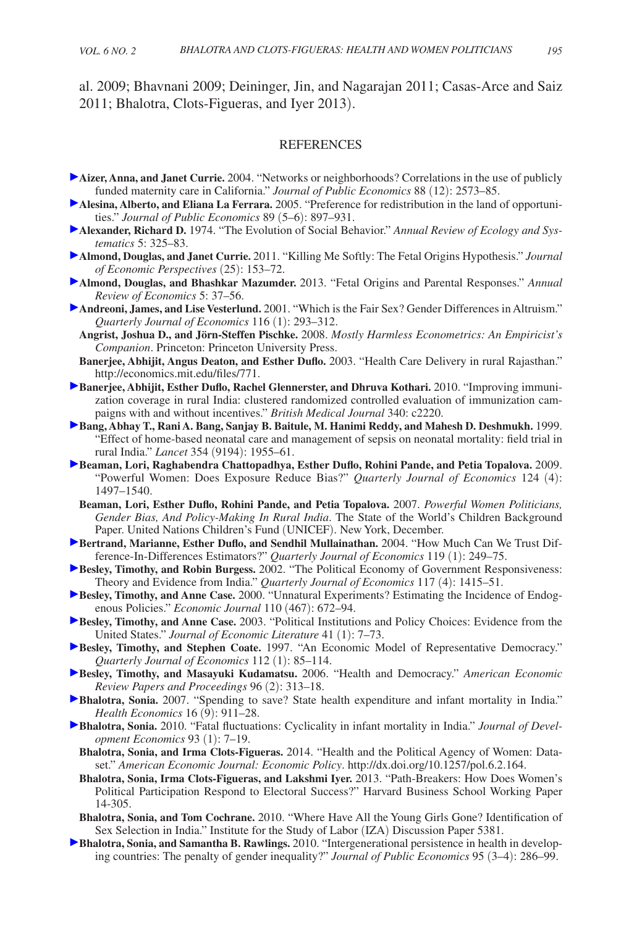al. 2009; Bhavnani 2009; Deininger, Jin, and Nagarajan 2011; Casas-Arce and Saiz 2011; Bhalotra, Clots-Figueras, and Iyer 2013).

#### REFERENCES

- **Aizer, Anna, and Janet Currie.** 2004. "Networks or neighborhoods? Correlations in the use of publicly funded maternity care in California." *Journal of Public Economics* 88 (12): 2573–85.
- **[A](http://pubs.aeaweb.org/action/showLinks?crossref=10.1016%2Fj.jpubeco.2004.05.009)lesina, Alberto, and Eliana La Ferrara.** 2005. "Preference for redistribution in the land of opportunities." *Journal of Public Economics* 89 (5–6): 897–931.
- **[A](http://pubs.aeaweb.org/action/showLinks?crossref=10.1146%2Fannurev.es.05.110174.001545)lexander, Richard D.** 1974. "The Evolution of Social Behavior." *Annual Review of Ecology and Systematics* 5: 325–83.
- **[A](http://pubs.aeaweb.org/action/showLinks?system=10.1257%2Fjep.25.3.153)lmond, Douglas, and Janet Currie.** 2011. "Killing Me Softly: The Fetal Origins Hypothesis." *Journal of Economic Perspectives* (25): 153–72.
- **[A](http://pubs.aeaweb.org/action/showLinks?crossref=10.1146%2Fannurev-economics-082912-110145)lmond, Douglas, and Bhashkar Mazumder.** 2013. "Fetal Origins and Parental Responses." *Annual Review of Economics* 5: 37–56.
- **[A](http://pubs.aeaweb.org/action/showLinks?crossref=10.1162%2F003355301556419)ndreoni, James, and Lise Vesterlund.** 2001. "Which is the Fair Sex? Gender Differences in Altruism." *Quarterly Journal of Economics* 116 (1): 293–312.
- **Angrist, Joshua D., and Jörn-Steffen Pischke.** 2008. *Mostly Harmless Econometrics: An Empiricist's Companion*. Princeton: Princeton University Press.
- **Banerjee, Abhijit, Angus Deaton, and Esther Duflo.** 2003. "Health Care Delivery in rural Rajasthan." <http://economics.mit.edu/files/771>.
- **[B](http://pubs.aeaweb.org/action/showLinks?crossref=10.1136%2Fbmj.c2220)anerjee, Abhijit, Esther Duflo, Rachel Glennerster, and Dhruva Kothari.** 2010. "Improving immunization coverage in rural India: clustered randomized controlled evaluation of immunization campaigns with and without incentives." *British Medical Journal* 340: c2220.
- **[B](http://pubs.aeaweb.org/action/showLinks?crossref=10.1016%2FS0140-6736%2899%2903046-9)ang, Abhay T., Rani A. Bang, Sanjay B. Baitule, M. Hanimi Reddy, and Mahesh D. Deshmukh.** 1999. "Effect of home-based neonatal care and management of sepsis on neonatal mortality: field trial in rural India." *Lancet* 354 (9194): 1955–61.
- **[B](http://pubs.aeaweb.org/action/showLinks?crossref=10.1162%2Fqjec.2009.124.4.1497)eaman, Lori, Raghabendra Chattopadhya, Esther Duflo, Rohini Pande, and Petia Topalova.** 2009. "Powerful Women: Does Exposure Reduce Bias?" *Quarterly Journal of Economics* 124 (4): 1497–1540.
	- **Beaman, Lori, Esther Duflo, Rohini Pande, and Petia Topalova.** 2007. *Powerful Women Politicians, Gender Bias, And Policy-Making In Rural India*. The State of the World's Children Background Paper. United Nations Children's Fund (UNICEF). New York, December.
- **[B](http://pubs.aeaweb.org/action/showLinks?crossref=10.1162%2F003355304772839588)ertrand, Marianne, Esther Duflo, and Sendhil Mullainathan.** 2004. "How Much Can We Trust Difference-In-Differences Estimators?" *Quarterly Journal of Economics* 119 (1): 249–75.
- **[B](http://pubs.aeaweb.org/action/showLinks?crossref=10.1162%2F003355302320935061)esley, Timothy, and Robin Burgess. 2002. "The Political Economy of Government Responsiveness:** Theory and Evidence from India." *Quarterly Journal of Economics* 117 (4): 1415–51.
- **[B](http://pubs.aeaweb.org/action/showLinks?crossref=10.1111%2F1468-0297.00578)esley, Timothy, and Anne Case. 2000. "Unnatural Experiments? Estimating the Incidence of Endog**enous Policies." *Economic Journal* 110 (467): 672–94.
- **[B](http://pubs.aeaweb.org/action/showLinks?system=10.1257%2F002205103321544693)esley, Timothy, and Anne Case.** 2003. "Political Institutions and Policy Choices: Evidence from the United States." *Journal of Economic Literature* 41 (1): 7–73.
- **Besley, Timothy, and Stephen Coate.** 1997. "An Economic Model of Representative Democracy." *Quarterly Journal of Economics* 112 (1): 85–114.
- **Besley, Timothy, and Masayuki Kudamatsu.** 2006. "Health and Democracy." *American Economic Review Papers and Proceedings* 96 (2): 313–18.
- **Bhalotra, Sonia.** 2007. "Spending to save? State health expenditure and infant mortality in India." *Health Economics* 16 (9): 911–28.
- **Bhalotra, Sonia.** 2010. "Fatal fluctuations: Cyclicality in infant mortality in India." *Journal of Development Economics* 93 (1): 7–19.
	- **Bhalotra, Sonia, and Irma Clots-Figueras.** 2014. "Health and the Political Agency of Women: Dataset." *American Economic Journal: Economic Policy*. [http://dx.doi.org/10.1257/pol.6.2.164.](http://dx.doi.org/10.1257/pol.6.2.164)
	- **Bhalotra, Sonia, Irma Clots-Figueras, and Lakshmi Iyer.** 2013. "Path-Breakers: How Does Women's Political Participation Respond to Electoral Success?" Harvard Business School Working Paper 14-305.
	- **Bhalotra, Sonia, and Tom Cochrane.** 2010. "Where Have All the Young Girls Gone? Identification of Sex Selection in India." Institute for the Study of Labor (IZA) Discussion Paper 5381.
- **Bhalotra, Sonia, and Samantha B. Rawlings.** 2010. "Intergenerational persistence in health in developing countries: The penalty of gender inequality?" *Journal of Public Economics* 95 (3–4): 286–99.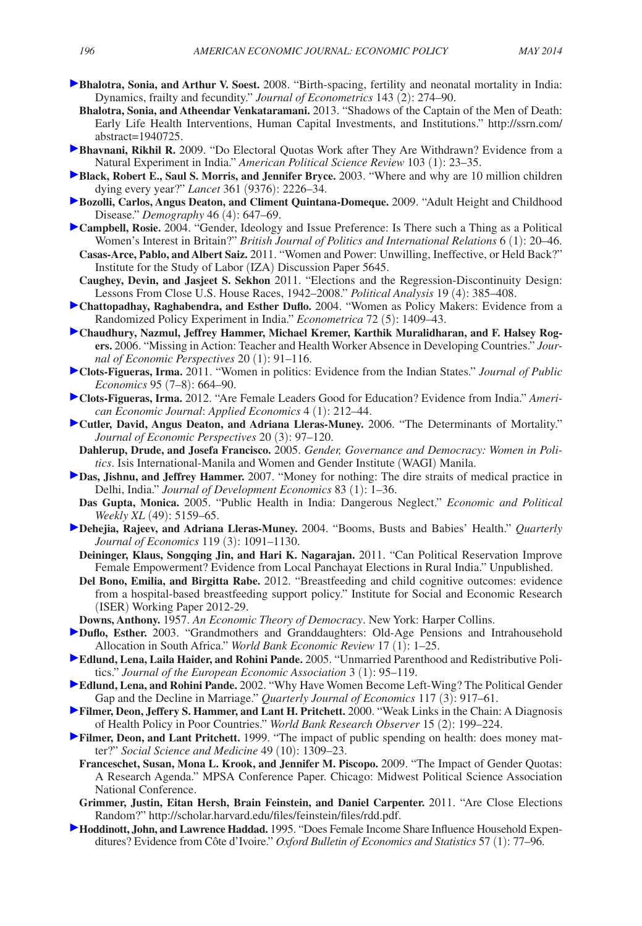- **Bhalotra, Sonia, and Arthur V. Soest.** 2008. "Birth-spacing, fertility and neonatal mortality in India: Dynamics, frailty and fecundity." *Journal of Econometrics* 143 (2): 274–90.
- **Bhalotra, Sonia, and Atheendar Venkataramani.** 2013. "Shadows of the Captain of the Men of Death: Early Life Health Interventions, Human Capital Investments, and Institutions.[" http://ssrn.com/](http://ssrn.com/abstract=1940725) [abstract=1940725.](http://ssrn.com/abstract=1940725)
- **Bhavnani, Rikhil R.** 2009. "Do Electoral Quotas Work after They Are Withdrawn? Evidence from a Natural Experiment in India." *American Political Science Review* 103 (1): 23–35.
- **Black, Robert E., Saul S. Morris, and Jennifer Bryce.** 2003. "Where and why are 10 million children dying every year?" *Lancet* 361 (9376): 2226–34.
- **Bozolli, Carlos, Angus Deaton, and Climent Quintana-Domeque.** 2009. "Adult Height and Childhood Disease." *Demography* 46 (4): 647–69.
- **Campbell, Rosie.** 2004. "Gender, Ideology and Issue Preference: Is There such a Thing as a Political Women's Interest in Britain?" *British Journal of Politics and International Relations* 6 (1): 20–46.
- **Casas-Arce, Pablo, and Albert Saiz.** 2011. "Women and Power: Unwilling, Ineffective, or Held Back?" Institute for the Study of Labor (IZA) Discussion Paper 5645.
- **Caughey, Devin, and Jasjeet S. Sekhon** 2011. "Elections and the Regression-Discontinuity Design: Lessons From Close U.S. House Races, 1942–2008." *Political Analysis* 19 (4): 385–408.
- **Chattopadhay, Raghabendra, and Esther Duflo.** 2004. "Women as Policy Makers: Evidence from a Randomized Policy Experiment in India." *Econometrica* 72 (5): 1409–43.
- **Chaudhury, Nazmul, Jeffrey Hammer, Michael Kremer, Karthik Muralidharan, and F. Halsey Rogers.** 2006. "Missing in Action: Teacher and Health Worker Absence in Developing Countries." *Journal of Economic Perspectives* 20 (1): 91–116.
- **Clots-Figueras, Irma.** 2011. "Women in politics: Evidence from the Indian States." *Journal of Public Economics* 95 (7–8): 664–90.
- **Clots-Figueras, Irma.** 2012. "Are Female Leaders Good for Education? Evidence from India." *American Economic Journal*: *Applied Economics* 4 (1): 212–44.
- **Cutler, David, Angus Deaton, and Adriana Lleras-Muney.** 2006. "The Determinants of Mortality." *Journal of Economic Perspectives* 20 (3): 97–120.
- **Dahlerup, Drude, and Josefa Francisco.** 2005. *Gender, Governance and Democracy: Women in Politics*. Isis International-Manila and Women and Gender Institute (WAGI) Manila.
- **Das, Jishnu, and Jeffrey Hammer.** 2007. "Money for nothing: The dire straits of medical practice in Delhi, India." *Journal of Development Economics* 83 (1): 1–36.
- **Das Gupta, Monica.** 2005. "Public Health in India: Dangerous Neglect." *Economic and Political Weekly XL* (49): 5159–65.
- **Dehejia, Rajeev, and Adriana Lleras-Muney.** 2004. "Booms, Busts and Babies' Health." *Quarterly Journal of Economics* 119 (3): 1091–1130.
- **Deininger, Klaus, Songqing Jin, and Hari K. Nagarajan.** 2011. "Can Political Reservation Improve Female Empowerment? Evidence from Local Panchayat Elections in Rural India." Unpublished.
- **Del Bono, Emilia, and Birgitta Rabe.** 2012. "Breastfeeding and child cognitive outcomes: evidence from a hospital-based breastfeeding support policy." Institute for Social and Economic Research (ISER) Working Paper 2012-29.
- **Downs, Anthony.** 1957. *An Economic Theory of Democracy*. New York: Harper Collins.
- **Duflo, Esther.** 2003. "Grandmothers and Granddaughters: Old-Age Pensions and Intrahousehold Allocation in South Africa." *World Bank Economic Review* 17 (1): 1–25.
- **Edlund, Lena, Laila Haider, and Rohini Pande.** 2005. "Unmarried Parenthood and Redistributive Politics." *Journal of the European Economic Association* 3 (1): 95–119.
- **Edlund, Lena, and Rohini Pande.** 2002. "Why Have Women Become Left-Wing? The Political Gender Gap and the Decline in Marriage." *Quarterly Journal of Economics* 117 (3): 917–61.
- **Filmer, Deon, Jeffery S. Hammer, and Lant H. Pritchett.** 2000. "Weak Links in the Chain: A Diagnosis of Health Policy in Poor Countries." *World Bank Research Observer* 15 (2): 199–224.
- **Filmer, Deon, and Lant Pritchett.** 1999. "The impact of public spending on health: does money matter?" *Social Science and Medicine* 49 (10): 1309–23.
	- **Franceschet, Susan, Mona L. Krook, and Jennifer M. Piscopo.** 2009. "The Impact of Gender Quotas: A Research Agenda." MPSA Conference Paper. Chicago: Midwest Political Science Association National Conference.
	- **Grimmer, Justin, Eitan Hersh, Brain Feinstein, and Daniel Carpenter.** 2011. "Are Close Elections Random?" [http://scholar.harvard.edu/files/feinstein/files/rdd.pdf.](http://scholar.harvard.edu/files/feinstein/files/rdd.pdf)
- **Hoddinott, John, and Lawrence Haddad.** 1995. "Does Female Income Share Influence Household Expenditures? Evidence from Côte d'Ivoire." *Oxford Bulletin of Economics and Statistics* 57 (1): 77–96.